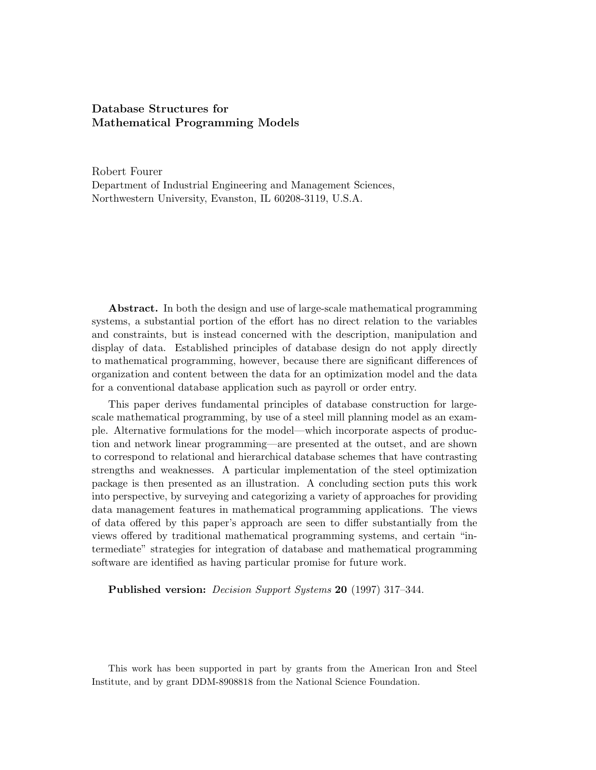## **Database Structures for Mathematical Programming Models**

Robert Fourer Department of Industrial Engineering and Management Sciences, Northwestern University, Evanston, IL 60208-3119, U.S.A.

Abstract. In both the design and use of large-scale mathematical programming systems, a substantial portion of the effort has no direct relation to the variables and constraints, but is instead concerned with the description, manipulation and display of data. Established principles of database design do not apply directly to mathematical programming, however, because there are significant differences of organization and content between the data for an optimization model and the data for a conventional database application such as payroll or order entry.

This paper derives fundamental principles of database construction for largescale mathematical programming, by use of a steel mill planning model as an example. Alternative formulations for the model—which incorporate aspects of production and network linear programming—are presented at the outset, and are shown to correspond to relational and hierarchical database schemes that have contrasting strengths and weaknesses. A particular implementation of the steel optimization package is then presented as an illustration. A concluding section puts this work into perspective, by surveying and categorizing a variety of approaches for providing data management features in mathematical programming applications. The views of data offered by this paper's approach are seen to differ substantially from the views offered by traditional mathematical programming systems, and certain "intermediate" strategies for integration of database and mathematical programming software are identified as having particular promise for future work.

**Published version:** Decision Support Systems **20** (1997) 317–344.

This work has been supported in part by grants from the American Iron and Steel Institute, and by grant DDM-8908818 from the National Science Foundation.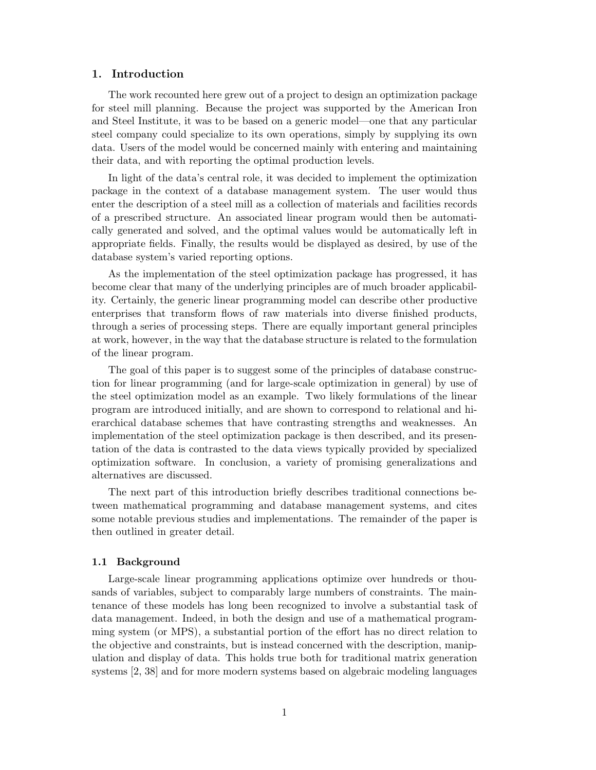#### **1. Introduction**

The work recounted here grew out of a project to design an optimization package for steel mill planning. Because the project was supported by the American Iron and Steel Institute, it was to be based on a generic model—one that any particular steel company could specialize to its own operations, simply by supplying its own data. Users of the model would be concerned mainly with entering and maintaining their data, and with reporting the optimal production levels.

In light of the data's central role, it was decided to implement the optimization package in the context of a database management system. The user would thus enter the description of a steel mill as a collection of materials and facilities records of a prescribed structure. An associated linear program would then be automatically generated and solved, and the optimal values would be automatically left in appropriate fields. Finally, the results would be displayed as desired, by use of the database system's varied reporting options.

As the implementation of the steel optimization package has progressed, it has become clear that many of the underlying principles are of much broader applicability. Certainly, the generic linear programming model can describe other productive enterprises that transform flows of raw materials into diverse finished products, through a series of processing steps. There are equally important general principles at work, however, in the way that the database structure is related to the formulation of the linear program.

The goal of this paper is to suggest some of the principles of database construction for linear programming (and for large-scale optimization in general) by use of the steel optimization model as an example. Two likely formulations of the linear program are introduced initially, and are shown to correspond to relational and hierarchical database schemes that have contrasting strengths and weaknesses. An implementation of the steel optimization package is then described, and its presentation of the data is contrasted to the data views typically provided by specialized optimization software. In conclusion, a variety of promising generalizations and alternatives are discussed.

The next part of this introduction briefly describes traditional connections between mathematical programming and database management systems, and cites some notable previous studies and implementations. The remainder of the paper is then outlined in greater detail.

#### **1.1 Background**

Large-scale linear programming applications optimize over hundreds or thousands of variables, subject to comparably large numbers of constraints. The maintenance of these models has long been recognized to involve a substantial task of data management. Indeed, in both the design and use of a mathematical programming system (or MPS), a substantial portion of the effort has no direct relation to the objective and constraints, but is instead concerned with the description, manipulation and display of data. This holds true both for traditional matrix generation systems [2, 38] and for more modern systems based on algebraic modeling languages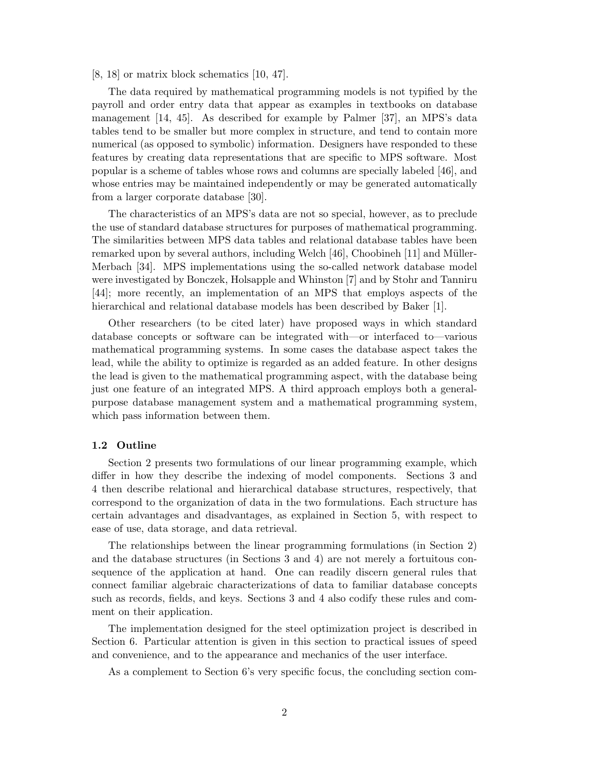[8, 18] or matrix block schematics [10, 47].

The data required by mathematical programming models is not typified by the payroll and order entry data that appear as examples in textbooks on database management [14, 45]. As described for example by Palmer [37], an MPS's data tables tend to be smaller but more complex in structure, and tend to contain more numerical (as opposed to symbolic) information. Designers have responded to these features by creating data representations that are specific to MPS software. Most popular is a scheme of tables whose rows and columns are specially labeled [46], and whose entries may be maintained independently or may be generated automatically from a larger corporate database [30].

The characteristics of an MPS's data are not so special, however, as to preclude the use of standard database structures for purposes of mathematical programming. The similarities between MPS data tables and relational database tables have been remarked upon by several authors, including Welch  $[46]$ , Choobineh  $[11]$  and Müller-Merbach [34]. MPS implementations using the so-called network database model were investigated by Bonczek, Holsapple and Whinston [7] and by Stohr and Tanniru [44]; more recently, an implementation of an MPS that employs aspects of the hierarchical and relational database models has been described by Baker [1].

Other researchers (to be cited later) have proposed ways in which standard database concepts or software can be integrated with—or interfaced to—various mathematical programming systems. In some cases the database aspect takes the lead, while the ability to optimize is regarded as an added feature. In other designs the lead is given to the mathematical programming aspect, with the database being just one feature of an integrated MPS. A third approach employs both a generalpurpose database management system and a mathematical programming system, which pass information between them.

#### **1.2 Outline**

Section 2 presents two formulations of our linear programming example, which differ in how they describe the indexing of model components. Sections 3 and 4 then describe relational and hierarchical database structures, respectively, that correspond to the organization of data in the two formulations. Each structure has certain advantages and disadvantages, as explained in Section 5, with respect to ease of use, data storage, and data retrieval.

The relationships between the linear programming formulations (in Section 2) and the database structures (in Sections 3 and 4) are not merely a fortuitous consequence of the application at hand. One can readily discern general rules that connect familiar algebraic characterizations of data to familiar database concepts such as records, fields, and keys. Sections 3 and 4 also codify these rules and comment on their application.

The implementation designed for the steel optimization project is described in Section 6. Particular attention is given in this section to practical issues of speed and convenience, and to the appearance and mechanics of the user interface.

As a complement to Section 6's very specific focus, the concluding section com-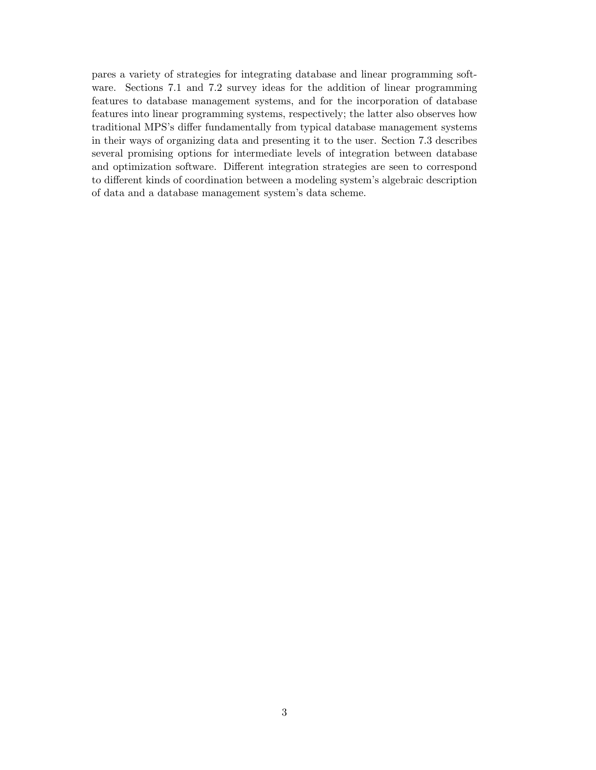pares a variety of strategies for integrating database and linear programming software. Sections 7.1 and 7.2 survey ideas for the addition of linear programming features to database management systems, and for the incorporation of database features into linear programming systems, respectively; the latter also observes how traditional MPS's differ fundamentally from typical database management systems in their ways of organizing data and presenting it to the user. Section 7.3 describes several promising options for intermediate levels of integration between database and optimization software. Different integration strategies are seen to correspond to different kinds of coordination between a modeling system's algebraic description of data and a database management system's data scheme.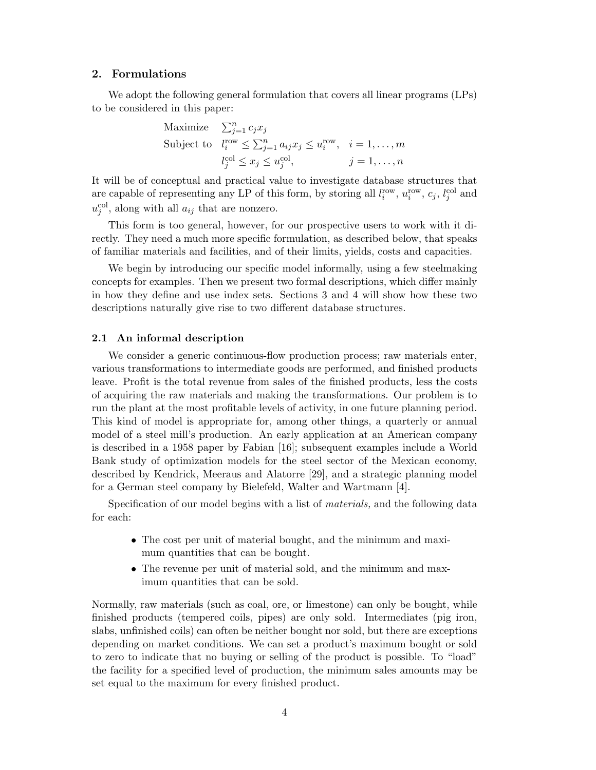#### **2. Formulations**

We adopt the following general formulation that covers all linear programs (LPs) to be considered in this paper:

Maximize 
$$
\sum_{j=1}^{n} c_j x_j
$$
  
Subject to  $l_i^{\text{row}} \le \sum_{j=1}^{n} a_{ij} x_j \le u_i^{\text{row}}, \quad i = 1, ..., m$   
 $l_j^{\text{col}} \le x_j \le u_j^{\text{col}}, \qquad j = 1, ..., n$ 

It will be of conceptual and practical value to investigate database structures that are capable of representing any LP of this form, by storing all  $l_i^{\text{row}}, u_i^{\text{row}}, c_j, l_j^{\text{col}}$  and  $u_j^{\text{col}}$ , along with all  $a_{ij}$  that are nonzero.

This form is too general, however, for our prospective users to work with it directly. They need a much more specific formulation, as described below, that speaks of familiar materials and facilities, and of their limits, yields, costs and capacities.

We begin by introducing our specific model informally, using a few steelmaking concepts for examples. Then we present two formal descriptions, which differ mainly in how they define and use index sets. Sections 3 and 4 will show how these two descriptions naturally give rise to two different database structures.

#### **2.1 An informal description**

We consider a generic continuous-flow production process; raw materials enter, various transformations to intermediate goods are performed, and finished products leave. Profit is the total revenue from sales of the finished products, less the costs of acquiring the raw materials and making the transformations. Our problem is to run the plant at the most profitable levels of activity, in one future planning period. This kind of model is appropriate for, among other things, a quarterly or annual model of a steel mill's production. An early application at an American company is described in a 1958 paper by Fabian [16]; subsequent examples include a World Bank study of optimization models for the steel sector of the Mexican economy, described by Kendrick, Meeraus and Alatorre [29], and a strategic planning model for a German steel company by Bielefeld, Walter and Wartmann [4].

Specification of our model begins with a list of materials, and the following data for each:

- The cost per unit of material bought, and the minimum and maximum quantities that can be bought.
- The revenue per unit of material sold, and the minimum and maximum quantities that can be sold.

Normally, raw materials (such as coal, ore, or limestone) can only be bought, while finished products (tempered coils, pipes) are only sold. Intermediates (pig iron, slabs, unfinished coils) can often be neither bought nor sold, but there are exceptions depending on market conditions. We can set a product's maximum bought or sold to zero to indicate that no buying or selling of the product is possible. To "load" the facility for a specified level of production, the minimum sales amounts may be set equal to the maximum for every finished product.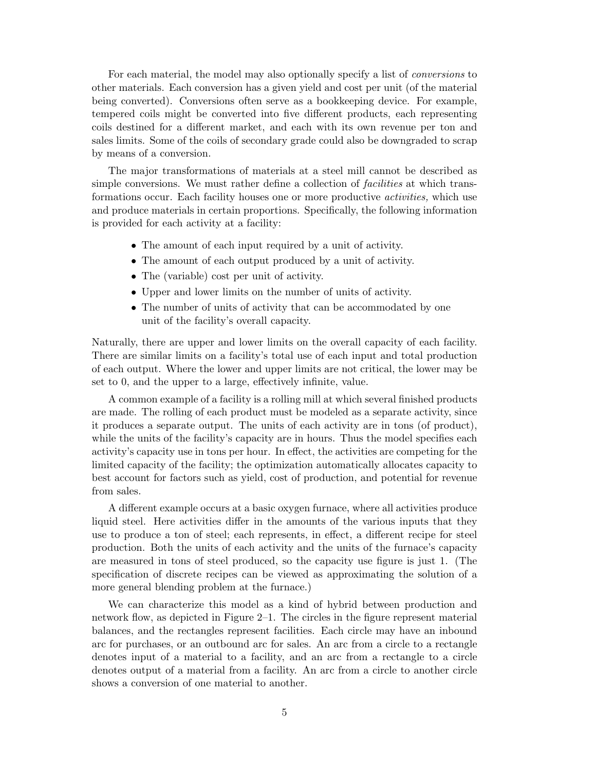For each material, the model may also optionally specify a list of conversions to other materials. Each conversion has a given yield and cost per unit (of the material being converted). Conversions often serve as a bookkeeping device. For example, tempered coils might be converted into five different products, each representing coils destined for a different market, and each with its own revenue per ton and sales limits. Some of the coils of secondary grade could also be downgraded to scrap by means of a conversion.

The major transformations of materials at a steel mill cannot be described as simple conversions. We must rather define a collection of facilities at which transformations occur. Each facility houses one or more productive activities, which use and produce materials in certain proportions. Specifically, the following information is provided for each activity at a facility:

- The amount of each input required by a unit of activity.
- The amount of each output produced by a unit of activity.
- The (variable) cost per unit of activity.
- Upper and lower limits on the number of units of activity.
- The number of units of activity that can be accommodated by one unit of the facility's overall capacity.

Naturally, there are upper and lower limits on the overall capacity of each facility. There are similar limits on a facility's total use of each input and total production of each output. Where the lower and upper limits are not critical, the lower may be set to 0, and the upper to a large, effectively infinite, value.

A common example of a facility is a rolling mill at which several finished products are made. The rolling of each product must be modeled as a separate activity, since it produces a separate output. The units of each activity are in tons (of product), while the units of the facility's capacity are in hours. Thus the model specifies each activity's capacity use in tons per hour. In effect, the activities are competing for the limited capacity of the facility; the optimization automatically allocates capacity to best account for factors such as yield, cost of production, and potential for revenue from sales.

A different example occurs at a basic oxygen furnace, where all activities produce liquid steel. Here activities differ in the amounts of the various inputs that they use to produce a ton of steel; each represents, in effect, a different recipe for steel production. Both the units of each activity and the units of the furnace's capacity are measured in tons of steel produced, so the capacity use figure is just 1. (The specification of discrete recipes can be viewed as approximating the solution of a more general blending problem at the furnace.)

We can characterize this model as a kind of hybrid between production and network flow, as depicted in Figure 2–1. The circles in the figure represent material balances, and the rectangles represent facilities. Each circle may have an inbound arc for purchases, or an outbound arc for sales. An arc from a circle to a rectangle denotes input of a material to a facility, and an arc from a rectangle to a circle denotes output of a material from a facility. An arc from a circle to another circle shows a conversion of one material to another.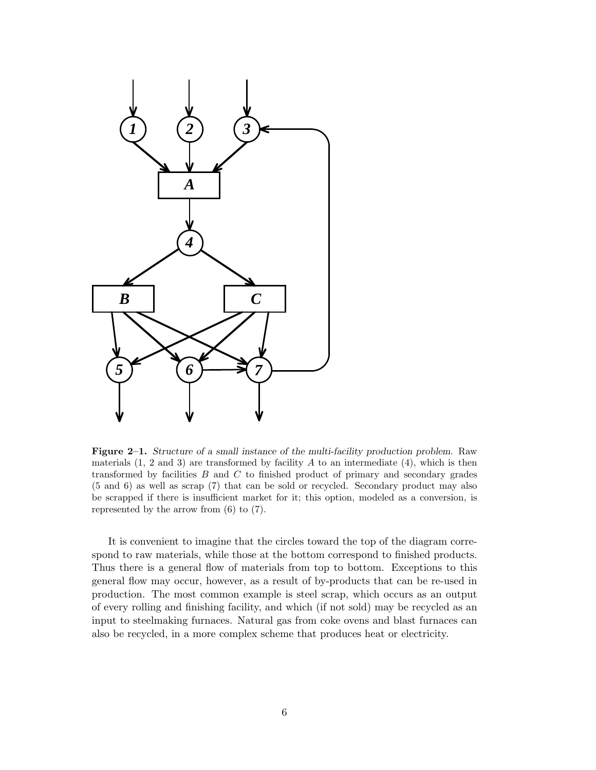

**Figure 2–1.** *Structure of a small instance of the multi-facility production problem.* Raw materials  $(1, 2, \text{and } 3)$  are transformed by facility A to an intermediate  $(4)$ , which is then transformed by facilities  $B$  and  $C$  to finished product of primary and secondary grades (5 and 6) as well as scrap (7) that can be sold or recycled. Secondary product may also be scrapped if there is insufficient market for it; this option, modeled as a conversion, is represented by the arrow from (6) to (7).

It is convenient to imagine that the circles toward the top of the diagram correspond to raw materials, while those at the bottom correspond to finished products. Thus there is a general flow of materials from top to bottom. Exceptions to this general flow may occur, however, as a result of by-products that can be re-used in production. The most common example is steel scrap, which occurs as an output of every rolling and finishing facility, and which (if not sold) may be recycled as an input to steelmaking furnaces. Natural gas from coke ovens and blast furnaces can also be recycled, in a more complex scheme that produces heat or electricity.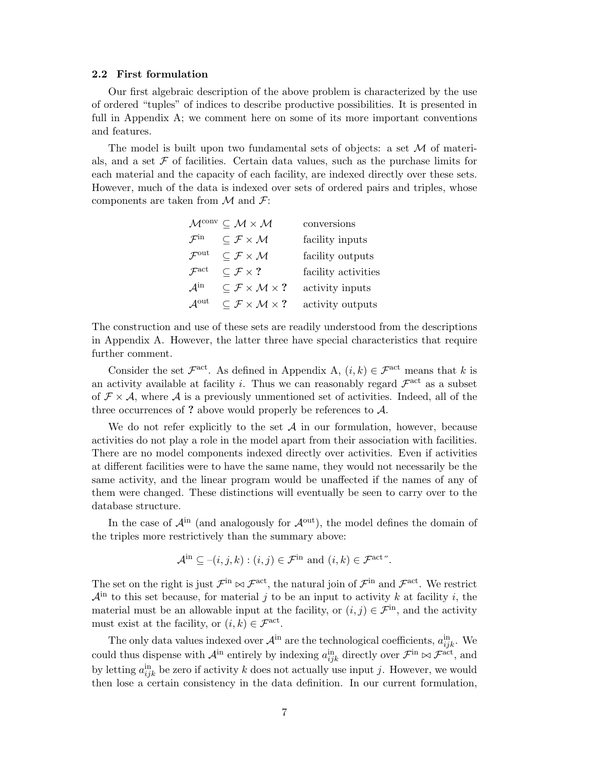#### **2.2 First formulation**

Our first algebraic description of the above problem is characterized by the use of ordered "tuples" of indices to describe productive possibilities. It is presented in full in Appendix A; we comment here on some of its more important conventions and features.

The model is built upon two fundamental sets of objects: a set  $\mathcal M$  of materials, and a set  $\mathcal F$  of facilities. Certain data values, such as the purchase limits for each material and the capacity of each facility, are indexed directly over these sets. However, much of the data is indexed over sets of ordered pairs and triples, whose components are taken from  $M$  and  $\mathcal{F}$ :

|                            | $\mathcal{M}^{\text{conv}} \subseteq \mathcal{M} \times \mathcal{M}$ | conversions         |
|----------------------------|----------------------------------------------------------------------|---------------------|
| $\mathcal{F}^{\text{in}}$  | $\subseteq \mathcal{F} \times \mathcal{M}$                           | facility inputs     |
| $\mathcal{F}^{\text{out}}$ | $\subseteq \mathcal{F} \times \mathcal{M}$                           | facility outputs    |
| $\mathcal{F}^{\text{act}}$ | $\subset \mathcal{F} \times ?$                                       | facility activities |
| $\mathcal{A}^{\rm in}$     | $\subseteq \mathcal{F} \times \mathcal{M} \times ?$                  | activity inputs     |
| $A^{\text{out}}$           | $\subseteq$ $\mathcal{F} \times \mathcal{M} \times$ ?                | activity outputs    |

The construction and use of these sets are readily understood from the descriptions in Appendix A. However, the latter three have special characteristics that require further comment.

Consider the set  $\mathcal{F}^{\text{act}}$ . As defined in Appendix A,  $(i, k) \in \mathcal{F}^{\text{act}}$  means that k is an activity available at facility i. Thus we can reasonably regard  $\mathcal{F}^{\text{act}}$  as a subset of  $\mathcal{F} \times \mathcal{A}$ , where  $\mathcal{A}$  is a previously unmentioned set of activities. Indeed, all of the three occurrences of **?** above would properly be references to A.

We do not refer explicitly to the set  $A$  in our formulation, however, because activities do not play a role in the model apart from their association with facilities. There are no model components indexed directly over activities. Even if activities at different facilities were to have the same name, they would not necessarily be the same activity, and the linear program would be unaffected if the names of any of them were changed. These distinctions will eventually be seen to carry over to the database structure.

In the case of  $\mathcal{A}^{\text{in}}$  (and analogously for  $\mathcal{A}^{\text{out}}$ ), the model defines the domain of the triples more restrictively than the summary above:

$$
\mathcal{A}^{\text{in}} \subseteq -(i, j, k) : (i, j) \in \mathcal{F}^{\text{in}} \text{ and } (i, k) \in \mathcal{F}^{\text{act}}''.
$$

The set on the right is just  $\mathcal{F}^{\text{in}} \bowtie \mathcal{F}^{\text{act}}$ , the natural join of  $\mathcal{F}^{\text{in}}$  and  $\mathcal{F}^{\text{act}}$ . We restrict  $\mathcal{A}^{\text{in}}$  to this set because, for material j to be an input to activity k at facility i, the material must be an allowable input at the facility, or  $(i, j) \in \mathcal{F}^{\text{in}}$ , and the activity must exist at the facility, or  $(i, k) \in \mathcal{F}^{\text{act}}$ .

The only data values indexed over  $\mathcal{A}^{\text{in}}$  are the technological coefficients,  $a_{ijk}^{\text{in}}$ . We could thus dispense with  $\mathcal{A}^{\text{in}}$  entirely by indexing  $a_{ijk}^{\text{in}}$  directly over  $\mathcal{F}^{\text{in}} \bowtie \mathcal{F}^{\text{act}}$ , and by letting  $a_{ijk}^{\text{in}}$  be zero if activity k does not actually use input j. However, we would then lose a certain consistency in the data definition. In our current formulation,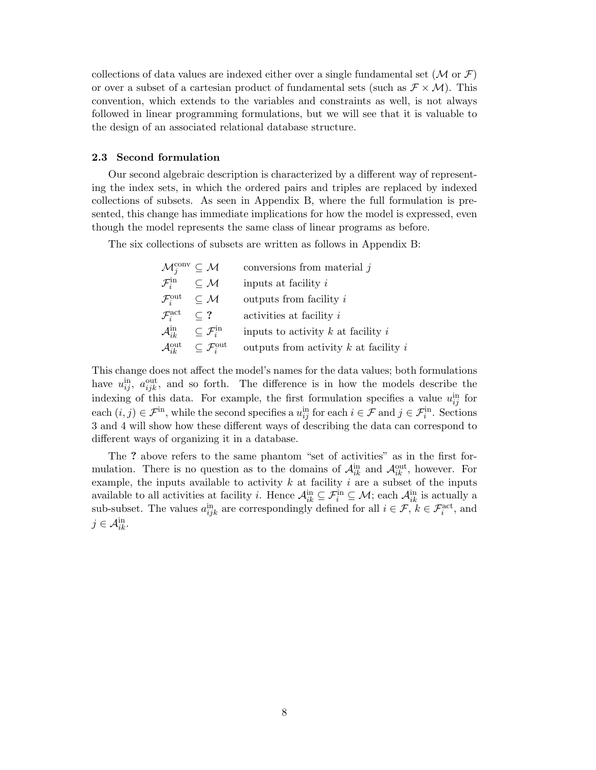collections of data values are indexed either over a single fundamental set  $(M \text{ or } \mathcal{F})$ or over a subset of a cartesian product of fundamental sets (such as  $\mathcal{F} \times \mathcal{M}$ ). This convention, which extends to the variables and constraints as well, is not always followed in linear programming formulations, but we will see that it is valuable to the design of an associated relational database structure.

#### **2.3 Second formulation**

Our second algebraic description is characterized by a different way of representing the index sets, in which the ordered pairs and triples are replaced by indexed collections of subsets. As seen in Appendix B, where the full formulation is presented, this change has immediate implications for how the model is expressed, even though the model represents the same class of linear programs as before.

The six collections of subsets are written as follows in Appendix B:

| $\mathcal{M}_i^{\text{conv}} \subseteq \mathcal{M}$ |                                        | conversions from material $j$             |
|-----------------------------------------------------|----------------------------------------|-------------------------------------------|
| $\mathcal{F}_i^{\textrm{in}}$                       | $\subseteq$ $\mathcal{M}$              | inputs at facility i                      |
| $\mathcal{F}^{\text{out}}_i$                        | $\subseteq M$                          | outputs from facility i                   |
| $\mathcal{F}^{\rm act}_i$                           | $\subset$ ?                            | activities at facility i                  |
| $\mathcal{A}_{ik}^{\rm in}$                         | $\subseteq \mathcal{F}_i^{\text{in}}$  | inputs to activity $k$ at facility $i$    |
| $\mathcal{A}^{\text{out}}_{ik}$                     | $\subseteq \mathcal{F}^{\text{out}}_i$ | outputs from activity $k$ at facility $i$ |

This change does not affect the model's names for the data values; both formulations have  $u_{ij}^{\text{in}}$ ,  $a_{ijk}^{\text{out}}$ , and so forth. The difference is in how the models describe the indexing of this data. For example, the first formulation specifies a value  $u_{ij}^{\text{in}}$  for each  $(i, j) \in \mathcal{F}^{\text{in}}$ , while the second specifies a  $u_{ij}^{\text{in}}$  for each  $i \in \mathcal{F}$  and  $j \in \mathcal{F}_i^{\text{in}}$ . Sections 3 and 4 will show how these different ways of describing the data can correspond to different ways of organizing it in a database.

The **?** above refers to the same phantom "set of activities" as in the first formulation. There is no question as to the domains of  $\mathcal{A}_{ik}^{\text{in}}$  and  $\mathcal{A}_{ik}^{\text{out}}$ , however. For example, the inputs available to activity  $k$  at facility  $i$  are a subset of the inputs available to all activities at facility *i*. Hence  $\mathcal{A}_{ik}^{\text{in}} \subseteq \mathcal{F}_i^{\text{in}} \subseteq \mathcal{M}$ ; each  $\mathcal{A}_{ik}^{\text{in}}$  is actually a sub-subset. The values  $a_{ijk}^{in}$  are correspondingly defined for all  $i \in \mathcal{F}$ ,  $k \in \mathcal{F}_i^{\text{act}}$ , and  $j \in \mathcal{A}_{ik}^{\text{in}}.$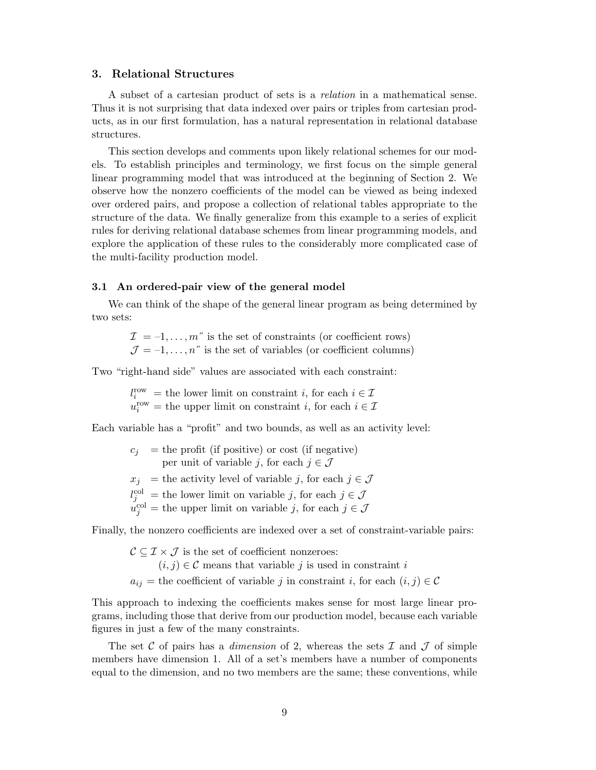#### **3. Relational Structures**

A subset of a cartesian product of sets is a relation in a mathematical sense. Thus it is not surprising that data indexed over pairs or triples from cartesian products, as in our first formulation, has a natural representation in relational database structures.

This section develops and comments upon likely relational schemes for our models. To establish principles and terminology, we first focus on the simple general linear programming model that was introduced at the beginning of Section 2. We observe how the nonzero coefficients of the model can be viewed as being indexed over ordered pairs, and propose a collection of relational tables appropriate to the structure of the data. We finally generalize from this example to a series of explicit rules for deriving relational database schemes from linear programming models, and explore the application of these rules to the considerably more complicated case of the multi-facility production model.

#### **3.1 An ordered-pair view of the general model**

We can think of the shape of the general linear program as being determined by two sets:

 $\mathcal{I} = -1, \ldots, m$ " is the set of constraints (or coefficient rows)

 $\mathcal{J} = -1, \ldots, n''$  is the set of variables (or coefficient columns)

Two "right-hand side" values are associated with each constraint:

 $l_i^{\text{row}} =$  the lower limit on constraint *i*, for each  $i \in \mathcal{I}$  $u_i^{\text{row}} =$  the upper limit on constraint *i*, for each  $i \in \mathcal{I}$ 

Each variable has a "profit" and two bounds, as well as an activity level:

 $c_i$  = the profit (if positive) or cost (if negative) per unit of variable j, for each  $j \in \mathcal{J}$  $x_i$  = the activity level of variable j, for each  $j \in \mathcal{J}$  $l_j^{\text{col}} =$  the lower limit on variable j, for each  $j \in \mathcal{J}$  $\widetilde{u}_j^{\text{col}} =$  the upper limit on variable j, for each  $j \in \mathcal{J}$ 

Finally, the nonzero coefficients are indexed over a set of constraint-variable pairs:

 $\mathcal{C} \subseteq \mathcal{I} \times \mathcal{J}$  is the set of coefficient nonzeroes:  $(i, j) \in \mathcal{C}$  means that variable j is used in constraint i

 $a_{ij}$  = the coefficient of variable j in constraint i, for each  $(i, j) \in \mathcal{C}$ 

This approach to indexing the coefficients makes sense for most large linear programs, including those that derive from our production model, because each variable figures in just a few of the many constraints.

The set C of pairs has a *dimension* of 2, whereas the sets  $\mathcal I$  and  $\mathcal J$  of simple members have dimension 1. All of a set's members have a number of components equal to the dimension, and no two members are the same; these conventions, while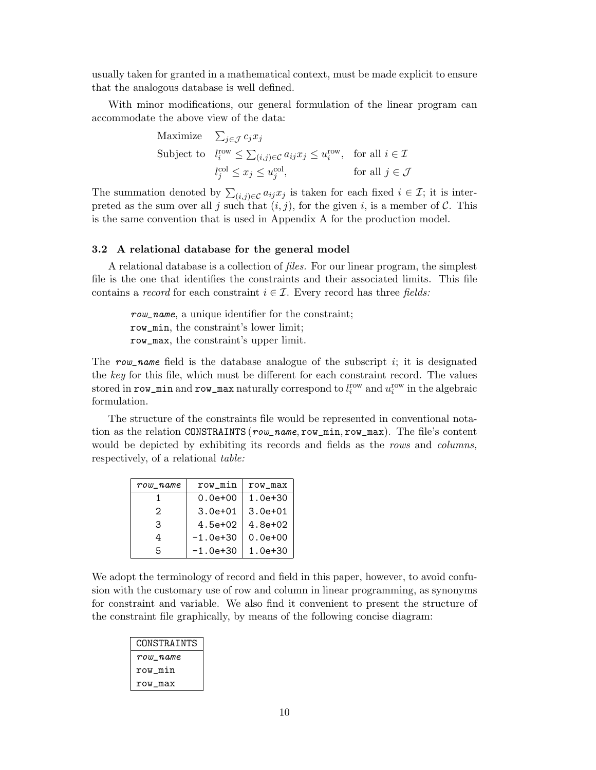usually taken for granted in a mathematical context, must be made explicit to ensure that the analogous database is well defined.

With minor modifications, our general formulation of the linear program can accommodate the above view of the data:

Maximize 
$$
\sum_{j \in \mathcal{J}} c_j x_j
$$
  
\nSubject to  $l_i^{\text{row}} \leq \sum_{(i,j) \in \mathcal{C}} a_{ij} x_j \leq u_i^{\text{row}}$ , for all  $i \in \mathcal{I}$   
\n $l_j^{\text{col}} \leq x_j \leq u_j^{\text{col}}$ , for all  $j \in \mathcal{J}$ 

The summation denoted by  $\sum_{(i,j)\in\mathcal{C}} a_{ij}x_j$  is taken for each fixed  $i \in \mathcal{I}$ ; it is interpreted as the sum over all j such that  $(i, j)$ , for the given i, is a member of C. This is the same convention that is used in Appendix A for the production model.

#### **3.2 A relational database for the general model**

A relational database is a collection of files. For our linear program, the simplest file is the one that identifies the constraints and their associated limits. This file contains a *record* for each constraint  $i \in \mathcal{I}$ . Every record has three fields:

row\_name, a unique identifier for the constraint; row\_min, the constraint's lower limit; row\_max, the constraint's upper limit.

The row\_name field is the database analogue of the subscript  $i$ ; it is designated the key for this file, which must be different for each constraint record. The values stored in row\_min and row\_max naturally correspond to  $l_i^{\text{row}}$  and  $u_i^{\text{row}}$  in the algebraic formulation.

The structure of the constraints file would be represented in conventional notation as the relation CONSTRAINTS (row\_name, row\_min, row\_max). The file's content would be depicted by exhibiting its records and fields as the rows and *columns*, respectively, of a relational table:

| row_name | row_min      | row_max     |
|----------|--------------|-------------|
| 1        | $0.0e + 00$  | 1.0e+30     |
| 2        | $3.0e + 01$  | $3.0e + 01$ |
| 3        | $4.5e+02$    | $4.8e + 02$ |
| 4        | $-1.0e + 30$ | $0.0e + 00$ |
| 5        | $-1.0e + 30$ | $1.0e + 30$ |

We adopt the terminology of record and field in this paper, however, to avoid confusion with the customary use of row and column in linear programming, as synonyms for constraint and variable. We also find it convenient to present the structure of the constraint file graphically, by means of the following concise diagram:

| CONSTRAINTS |
|-------------|
| row name    |
| row_min     |
| row max     |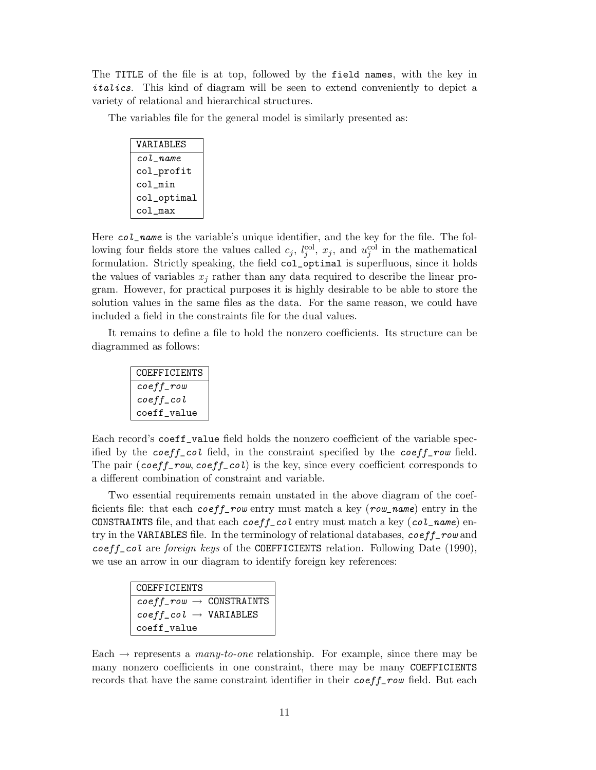The TITLE of the file is at top, followed by the field names, with the key in italics. This kind of diagram will be seen to extend conveniently to depict a variety of relational and hierarchical structures.

The variables file for the general model is similarly presented as:

| VARIABLES<br>col_name<br>col_profit<br>col min |
|------------------------------------------------|
|                                                |
|                                                |
|                                                |
|                                                |
| col_optimal                                    |
| $col_max$                                      |

Here col\_name is the variable's unique identifier, and the key for the file. The following four fields store the values called  $c_j$ ,  $l_j^{\text{col}}$ ,  $x_j$ , and  $u_j^{\text{col}}$  in the mathematical formulation. Strictly speaking, the field col\_optimal is superfluous, since it holds the values of variables  $x_j$  rather than any data required to describe the linear program. However, for practical purposes it is highly desirable to be able to store the solution values in the same files as the data. For the same reason, we could have included a field in the constraints file for the dual values.

It remains to define a file to hold the nonzero coefficients. Its structure can be diagrammed as follows:

| COEFFICIENTS |
|--------------|
| $coeff\_row$ |
| coeff_col    |
| coeff value  |

Each record's coeff\_value field holds the nonzero coefficient of the variable specified by the coeff col field, in the constraint specified by the coeff row field. The pair (coeff\_row, coeff\_col) is the key, since every coefficient corresponds to a different combination of constraint and variable.

Two essential requirements remain unstated in the above diagram of the coefficients file: that each  $\text{coeff}_r$  row entry must match a key (row\_name) entry in the CONSTRAINTS file, and that each  $coeff\_{col}$  entry must match a key (col\_name) entry in the VARIABLES file. In the terminology of relational databases, coeff\_row and  $coeff_{\text{1}}$  col are foreign keys of the COEFFICIENTS relation. Following Date (1990), we use an arrow in our diagram to identify foreign key references:

| COEFFICIENTS                                |  |
|---------------------------------------------|--|
| $coeff\_row \rightarrow \text{CONSTRAINTS}$ |  |
| $coeff\_col \rightarrow \text{VARIABLES}$   |  |
| coeff_value                                 |  |

Each  $\rightarrow$  represents a *many-to-one* relationship. For example, since there may be many nonzero coefficients in one constraint, there may be many COEFFICIENTS records that have the same constraint identifier in their coeff\_row field. But each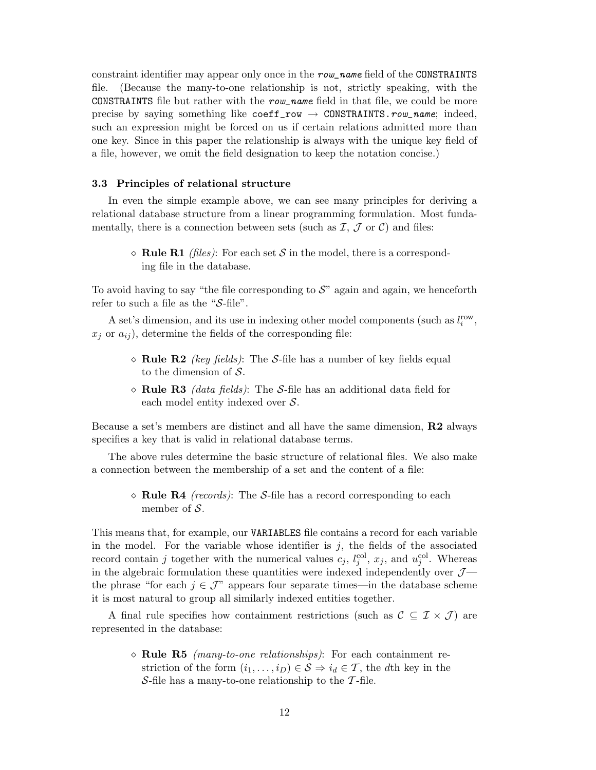constraint identifier may appear only once in the  $row\_name$  field of the CONSTRAINTS file. (Because the many-to-one relationship is not, strictly speaking, with the CONSTRAINTS file but rather with the  $row\_name$  field in that file, we could be more precise by saying something like coeff\_row  $\rightarrow$  CONSTRAINTS.row\_name; indeed, such an expression might be forced on us if certain relations admitted more than one key. Since in this paper the relationship is always with the unique key field of a file, however, we omit the field designation to keep the notation concise.)

#### **3.3 Principles of relational structure**

In even the simple example above, we can see many principles for deriving a relational database structure from a linear programming formulation. Most fundamentally, there is a connection between sets (such as  $\mathcal{I}, \mathcal{J}$  or  $\mathcal{C}$ ) and files:

> $\Diamond$  **Rule R1** *(files)*: For each set S in the model, there is a corresponding file in the database.

To avoid having to say "the file corresponding to  $\mathcal{S}$ " again and again, we henceforth refer to such a file as the "S-file".

A set's dimension, and its use in indexing other model components (such as  $l_i^{\text{row}}$ ,  $x_i$  or  $a_{ij}$ , determine the fields of the corresponding file:

- $\Diamond$  **Rule R2** (key fields): The S-file has a number of key fields equal to the dimension of  $S$ .
- $\Diamond$  **Rule R3** (data fields): The S-file has an additional data field for each model entity indexed over S.

Because a set's members are distinct and all have the same dimension, **R2** always specifies a key that is valid in relational database terms.

The above rules determine the basic structure of relational files. We also make a connection between the membership of a set and the content of a file:

> $\Diamond$  **Rule R4** (records): The S-file has a record corresponding to each member of  $S$ .

This means that, for example, our VARIABLES file contains a record for each variable in the model. For the variable whose identifier is  $j$ , the fields of the associated record contain j together with the numerical values  $c_j$ ,  $l_j^{\text{col}}$ ,  $x_j$ , and  $u_j^{\text{col}}$ . Whereas in the algebraic formulation these quantities were indexed independently over  $\mathcal{J}$ the phrase "for each  $j \in \mathcal{J}$ " appears four separate times—in the database scheme it is most natural to group all similarly indexed entities together.

A final rule specifies how containment restrictions (such as  $\mathcal{C} \subseteq \mathcal{I} \times \mathcal{J}$ ) are represented in the database:

> **Rule R5** (many-to-one relationships): For each containment restriction of the form  $(i_1,\ldots,i_D) \in \mathcal{S} \Rightarrow i_d \in \mathcal{T}$ , the dth key in the S-file has a many-to-one relationship to the  $\mathcal{T}\text{-file}$ .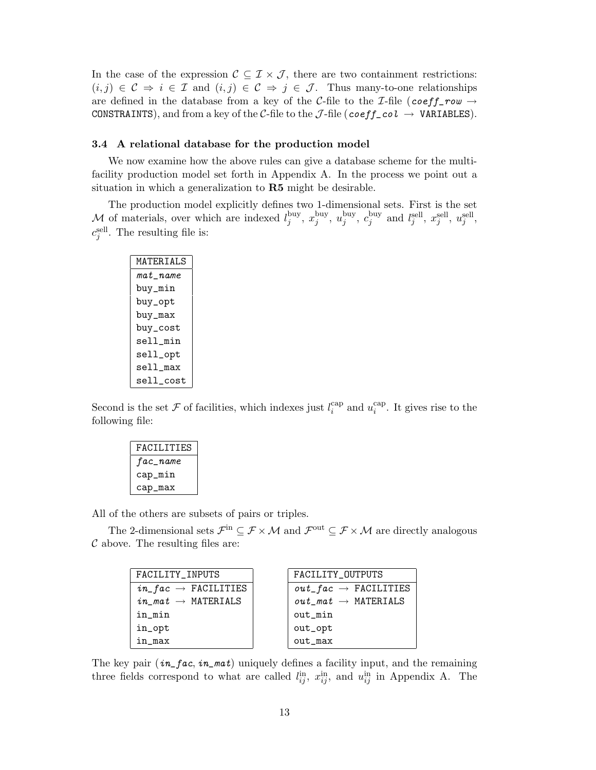In the case of the expression  $\mathcal{C} \subseteq \mathcal{I} \times \mathcal{J}$ , there are two containment restrictions:  $(i, j) \in \mathcal{C} \Rightarrow i \in \mathcal{I}$  and  $(i, j) \in \mathcal{C} \Rightarrow j \in \mathcal{J}$ . Thus many-to-one relationships are defined in the database from a key of the C-file to the  $\mathcal{I}\text{-file}$  (coeff\_row  $\rightarrow$ CONSTRAINTS), and from a key of the C-file to the J-file (coeff-col  $\rightarrow$  VARIABLES).

#### **3.4 A relational database for the production model**

We now examine how the above rules can give a database scheme for the multifacility production model set forth in Appendix A. In the process we point out a situation in which a generalization to **R5** might be desirable.

The production model explicitly defines two 1-dimensional sets. First is the set M of materials, over which are indexed  $l_j^{\text{buy}}, x_j^{\text{buy}}, u_j^{\text{buy}}, c_j^{\text{buy}}$  and  $l_j^{\text{sell}}, x_j^{\text{sell}}, u_j^{\text{sell}},$  $c_j^{\text{sell}}$ . The resulting file is:

| MATERIALS |
|-----------|
| mat_name  |
| buy_min   |
| buy_opt   |
| buy_max   |
| buy_cost  |
| sell_min  |
| sell_opt  |
| sell max  |
| sell cost |

Second is the set  $\mathcal F$  of facilities, which indexes just  $l_i^{\text{cap}}$  and  $u_i^{\text{cap}}$ . It gives rise to the following file:

| FACILITIES |
|------------|
| fac_name   |
| cap_min    |
| cap_max    |

All of the others are subsets of pairs or triples.

The 2-dimensional sets  $\mathcal{F}^{\text{in}} \subseteq \mathcal{F} \times \mathcal{M}$  and  $\mathcal{F}^{\text{out}} \subseteq \mathcal{F} \times \mathcal{M}$  are directly analogous  $\mathcal C$  above. The resulting files are:

| FACILITY_INPUTS                  | FACILITY_OUTPUTS                  |
|----------------------------------|-----------------------------------|
| $in\_fac \rightarrow$ FACILITIES | $out\_fac \rightarrow$ FACILITIES |
| $in\_mat \rightarrow$ MATERIALS  | $out\_mat \rightarrow$ MATERIALS  |
| in_min                           | out_min                           |
| in_opt                           | out_opt                           |
| in max                           | out_max                           |

The key pair (in\_fac, in\_mat) uniquely defines a facility input, and the remaining three fields correspond to what are called  $l_{ij}^{\text{in}}$ ,  $x_{ij}^{\text{in}}$ , and  $u_{ij}^{\text{in}}$  in Appendix A. The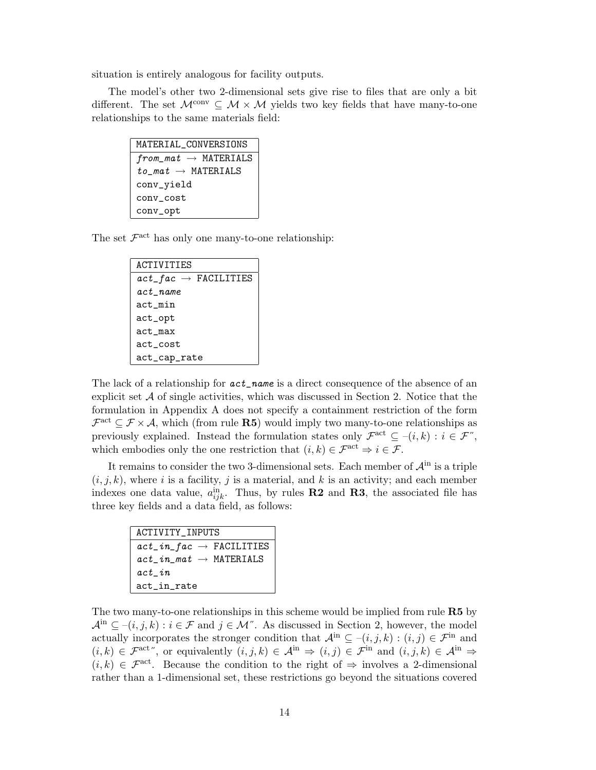situation is entirely analogous for facility outputs.

The model's other two 2-dimensional sets give rise to files that are only a bit different. The set  $\mathcal{M}^{\text{conv}} \subseteq \mathcal{M} \times \mathcal{M}$  yields two key fields that have many-to-one relationships to the same materials field:

| MATERIAL_CONVERSIONS              |  |
|-----------------------------------|--|
| $from\_mat \rightarrow$ MATERIALS |  |
| $to\_mat \rightarrow$ MATERIALS   |  |
| conv_yield                        |  |
| conv_cost                         |  |
| conv_opt                          |  |

The set  $\mathcal{F}^{\text{act}}$  has only one many-to-one relationship:

| <b>ACTIVITIES</b>                 |
|-----------------------------------|
| $act\_fac \rightarrow$ FACILITIES |
| $act_name$                        |
| act_min                           |
| act_opt                           |
| act_max                           |
| act_cost                          |
| act_cap_rate                      |

The lack of a relationship for  $act_name$  is a direct consequence of the absence of an explicit set  $A$  of single activities, which was discussed in Section 2. Notice that the formulation in Appendix A does not specify a containment restriction of the form  $\mathcal{F}^{\text{act}} \subset \mathcal{F} \times \mathcal{A}$ , which (from rule **R5**) would imply two many-to-one relationships as previously explained. Instead the formulation states only  $\mathcal{F}^{\text{act}} \subseteq -(i,k) : i \in \mathcal{F}$ <sup>"</sup>, which embodies only the one restriction that  $(i, k) \in \mathcal{F}^{\text{act}} \Rightarrow i \in \mathcal{F}$ .

It remains to consider the two 3-dimensional sets. Each member of  $\mathcal{A}^{\text{in}}$  is a triple  $(i, j, k)$ , where i is a facility, j is a material, and k is an activity; and each member indexes one data value,  $a_{ijk}^{in}$ . Thus, by rules **R2** and **R3**, the associated file has three key fields and a data field, as follows:

| ACTIVITY_INPUTS                       |  |  |  |  |
|---------------------------------------|--|--|--|--|
| $act\_in\_fac \rightarrow$ FACILITIES |  |  |  |  |
| $act\_in\_mat \rightarrow$ MATERIALS  |  |  |  |  |
| $act_in$                              |  |  |  |  |
| act_in_rate                           |  |  |  |  |

The two many-to-one relationships in this scheme would be implied from rule **R5** by  $\mathcal{A}^{\text{in}} \subseteq -(i, j, k) : i \in \mathcal{F}$  and  $j \in \mathcal{M}$ ". As discussed in Section 2, however, the model actually incorporates the stronger condition that  $\mathcal{A}^{in} \subseteq -(i, j, k) : (i, j) \in \mathcal{F}^{in}$  and  $(i, k) \in \mathcal{F}^{\text{act}}$ ", or equivalently  $(i, j, k) \in \mathcal{A}^{\text{in}} \Rightarrow (i, j) \in \mathcal{F}^{\text{in}}$  and  $(i, j, k) \in \mathcal{A}^{\text{in}} \Rightarrow$  $(i, k) \in \mathcal{F}^{\text{act}}$ . Because the condition to the right of  $\Rightarrow$  involves a 2-dimensional rather than a 1-dimensional set, these restrictions go beyond the situations covered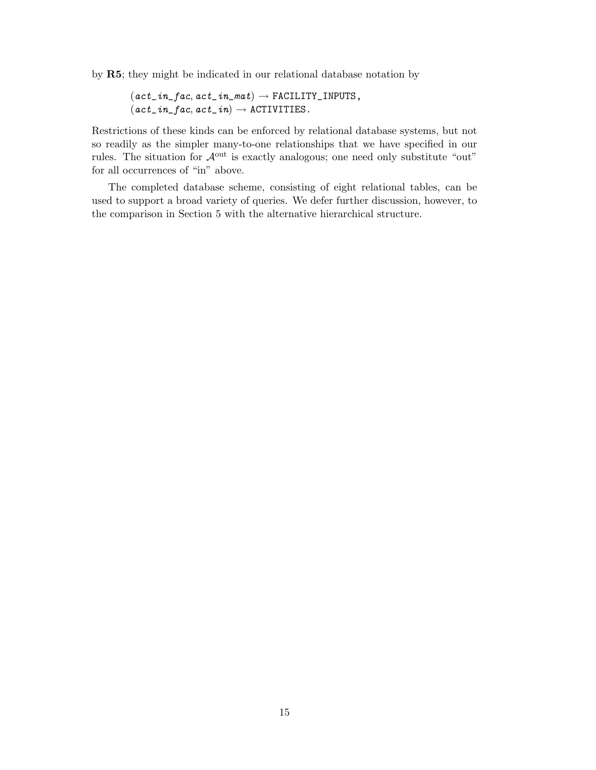by **R5**; they might be indicated in our relational database notation by

$$
\begin{array}{l}(\textit{act\_in\_fac},\textit{act\_in\_mat}) \rightarrow \textit{FACILITY\_INPUTS}\,,\\(\textit{act\_in\_fac},\textit{act\_in}) \rightarrow \textit{ACTIVITIES}\,. \end{array}
$$

Restrictions of these kinds can be enforced by relational database systems, but not so readily as the simpler many-to-one relationships that we have specified in our rules. The situation for  $\mathcal{A}^{\text{out}}$  is exactly analogous; one need only substitute "out" for all occurrences of "in" above.

The completed database scheme, consisting of eight relational tables, can be used to support a broad variety of queries. We defer further discussion, however, to the comparison in Section 5 with the alternative hierarchical structure.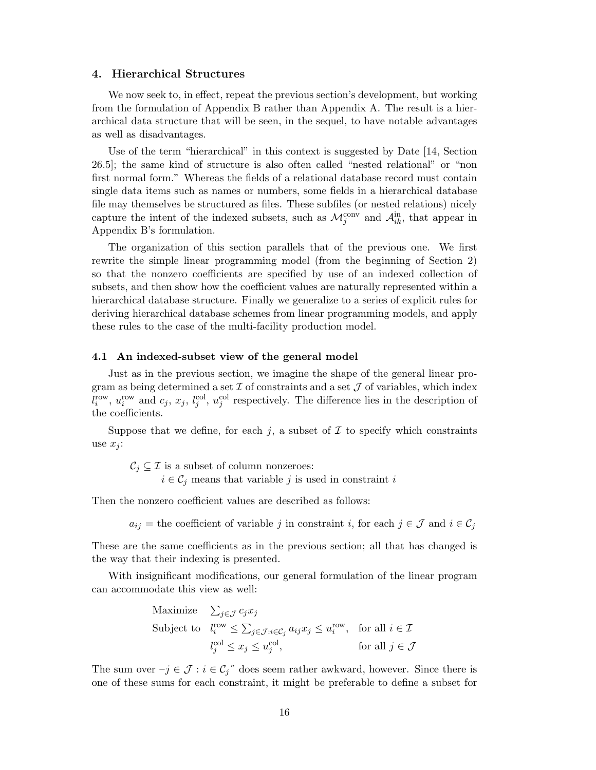## **4. Hierarchical Structures**

We now seek to, in effect, repeat the previous section's development, but working from the formulation of Appendix B rather than Appendix A. The result is a hierarchical data structure that will be seen, in the sequel, to have notable advantages as well as disadvantages.

Use of the term "hierarchical" in this context is suggested by Date [14, Section 26.5]; the same kind of structure is also often called "nested relational" or "non first normal form." Whereas the fields of a relational database record must contain single data items such as names or numbers, some fields in a hierarchical database file may themselves be structured as files. These subfiles (or nested relations) nicely capture the intent of the indexed subsets, such as  $\mathcal{M}_j^{\text{conv}}$  and  $\mathcal{A}_{ik}^{\text{in}}$ , that appear in Appendix B's formulation.

The organization of this section parallels that of the previous one. We first rewrite the simple linear programming model (from the beginning of Section 2) so that the nonzero coefficients are specified by use of an indexed collection of subsets, and then show how the coefficient values are naturally represented within a hierarchical database structure. Finally we generalize to a series of explicit rules for deriving hierarchical database schemes from linear programming models, and apply these rules to the case of the multi-facility production model.

#### **4.1 An indexed-subset view of the general model**

Just as in the previous section, we imagine the shape of the general linear program as being determined a set  $\mathcal I$  of constraints and a set  $\mathcal I$  of variables, which index  $l_i^{\text{row}}, u_i^{\text{row}}$  and  $c_j, x_j, l_j^{\text{col}}, u_j^{\text{col}}$  respectively. The difference lies in the description of the coefficients.

Suppose that we define, for each j, a subset of  $\mathcal I$  to specify which constraints use  $x_i$ :

 $C_j \subseteq \mathcal{I}$  is a subset of column nonzeroes:

 $i \in \mathcal{C}_i$  means that variable j is used in constraint i

Then the nonzero coefficient values are described as follows:

 $a_{ij}$  = the coefficient of variable j in constraint i, for each  $j \in \mathcal{J}$  and  $i \in \mathcal{C}_j$ 

These are the same coefficients as in the previous section; all that has changed is the way that their indexing is presented.

With insignificant modifications, our general formulation of the linear program can accommodate this view as well:

Maximize 
$$
\sum_{j \in \mathcal{J}} c_j x_j
$$
  
\nSubject to  $l_i^{\text{row}} \le \sum_{j \in \mathcal{J}: i \in \mathcal{C}_j} a_{ij} x_j \le u_i^{\text{row}}$ , for all  $i \in \mathcal{I}$   
\n $l_j^{\text{col}} \le x_j \le u_j^{\text{col}}$ , for all  $j \in \mathcal{J}$ 

The sum over  $-j \in \mathcal{J} : i \in \mathcal{C}_j$ " does seem rather awkward, however. Since there is one of these sums for each constraint, it might be preferable to define a subset for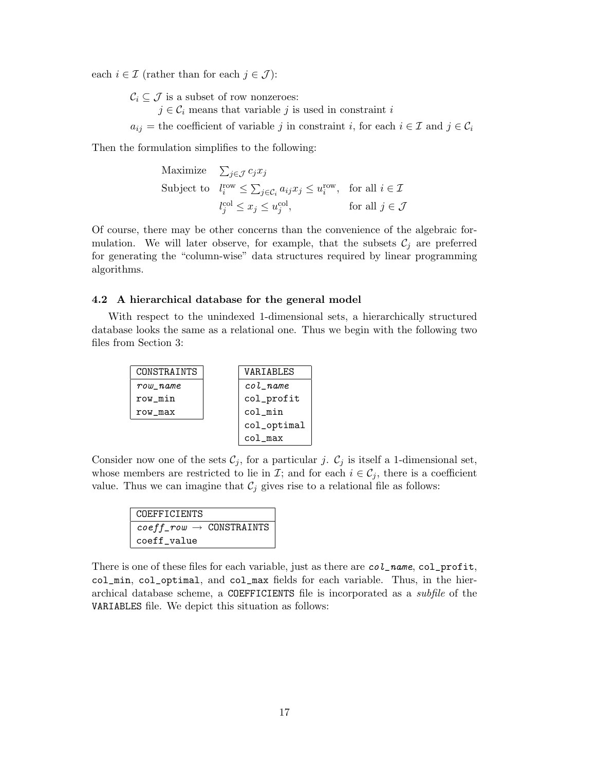each  $i \in \mathcal{I}$  (rather than for each  $j \in \mathcal{J}$ ):

 $\mathcal{C}_i \subseteq \mathcal{J}$  is a subset of row nonzeroes:

 $j \in \mathcal{C}_i$  means that variable  $j$  is used in constraint  $i$ 

 $a_{ij}$  = the coefficient of variable j in constraint i, for each  $i \in \mathcal{I}$  and  $j \in \mathcal{C}_i$ 

Then the formulation simplifies to the following:

Maximize 
$$
\sum_{j \in \mathcal{J}} c_j x_j
$$
  
\nSubject to  $l_i^{\text{row}} \le \sum_{j \in C_i} a_{ij} x_j \le u_i^{\text{row}}$ , for all  $i \in \mathcal{I}$   
\n $l_j^{\text{col}} \le x_j \le u_j^{\text{col}}$ , for all  $j \in \mathcal{J}$ 

Of course, there may be other concerns than the convenience of the algebraic formulation. We will later observe, for example, that the subsets  $\mathcal{C}_j$  are preferred for generating the "column-wise" data structures required by linear programming algorithms.

#### **4.2 A hierarchical database for the general model**

With respect to the unindexed 1-dimensional sets, a hierarchically structured database looks the same as a relational one. Thus we begin with the following two files from Section 3:

| CONSTRAINTS | VARIABLES   |
|-------------|-------------|
| row_name    | $col_name$  |
| row_min     | col_profit  |
| row_max     | $col\_min$  |
|             | col_optimal |
|             | $col_max$   |

Consider now one of the sets  $\mathcal{C}_j$ , for a particular j.  $\mathcal{C}_j$  is itself a 1-dimensional set, whose members are restricted to lie in  $\mathcal{I}$ ; and for each  $i \in \mathcal{C}_j$ , there is a coefficient value. Thus we can imagine that  $\mathcal{C}_j$  gives rise to a relational file as follows:

| COEFFICIENTS                                |  |
|---------------------------------------------|--|
| $coeff\_row \rightarrow \text{CONSTRAINTS}$ |  |
| coeff value                                 |  |

There is one of these files for each variable, just as there are  $col\_name$ ,  $col\_profit$ , col\_min, col\_optimal, and col\_max fields for each variable. Thus, in the hierarchical database scheme, a COEFFICIENTS file is incorporated as a subfile of the VARIABLES file. We depict this situation as follows: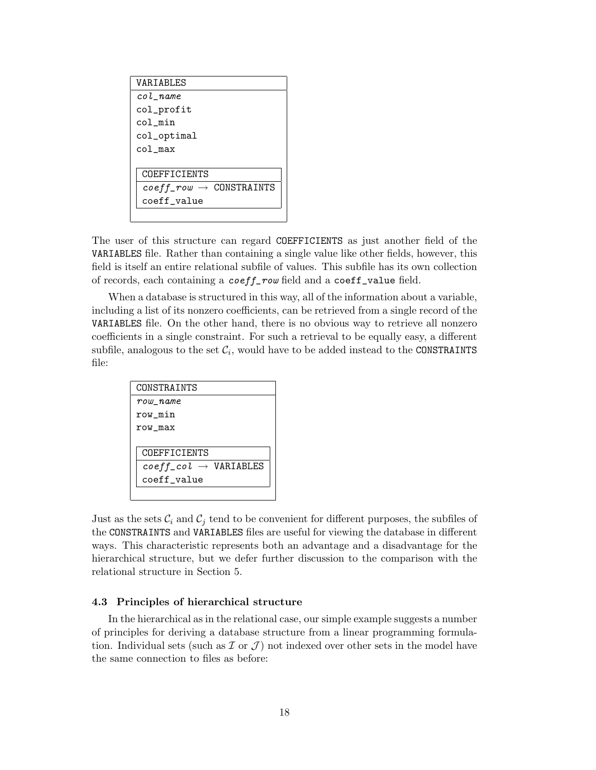| VARIABLES                                   |
|---------------------------------------------|
| $col_name$                                  |
| col_profit                                  |
| col_min                                     |
| col_optimal                                 |
| col max                                     |
|                                             |
| <b>COEFFICIENTS</b>                         |
| $coeff\_row \rightarrow \text{CONSTRAINTS}$ |
| coeff_value                                 |
|                                             |

The user of this structure can regard COEFFICIENTS as just another field of the VARIABLES file. Rather than containing a single value like other fields, however, this field is itself an entire relational subfile of values. This subfile has its own collection of records, each containing a coeff\_row field and a coeff\_value field.

When a database is structured in this way, all of the information about a variable, including a list of its nonzero coefficients, can be retrieved from a single record of the VARIABLES file. On the other hand, there is no obvious way to retrieve all nonzero coefficients in a single constraint. For such a retrieval to be equally easy, a different subfile, analogous to the set  $\mathcal{C}_i$ , would have to be added instead to the CONSTRAINTS file:

| CONSTRAINTS                               |
|-------------------------------------------|
| row name                                  |
| row_min                                   |
| row_max                                   |
|                                           |
| COEFFICIENTS                              |
| $coeff\_col \rightarrow \text{VARIABLES}$ |
| coeff_value                               |
|                                           |

Just as the sets  $C_i$  and  $C_j$  tend to be convenient for different purposes, the subfiles of the CONSTRAINTS and VARIABLES files are useful for viewing the database in different ways. This characteristic represents both an advantage and a disadvantage for the hierarchical structure, but we defer further discussion to the comparison with the relational structure in Section 5.

#### **4.3 Principles of hierarchical structure**

In the hierarchical as in the relational case, our simple example suggests a number of principles for deriving a database structure from a linear programming formulation. Individual sets (such as  $\mathcal I$  or  $\mathcal J$ ) not indexed over other sets in the model have the same connection to files as before: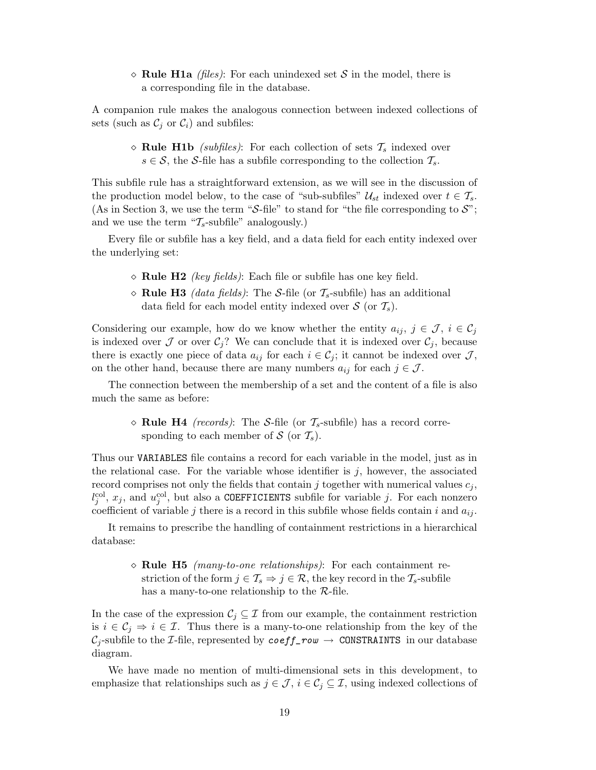$\Diamond$  **Rule H1a** (files): For each unindexed set S in the model, there is a corresponding file in the database.

A companion rule makes the analogous connection between indexed collections of sets (such as  $\mathcal{C}_i$  or  $\mathcal{C}_i$ ) and subfiles:

 $\Diamond$  **Rule H1b** (subfiles): For each collection of sets  $\mathcal{T}_s$  indexed over  $s \in \mathcal{S}$ , the S-file has a subfile corresponding to the collection  $\mathcal{T}_s$ .

This subfile rule has a straightforward extension, as we will see in the discussion of the production model below, to the case of "sub-subfiles"  $\mathcal{U}_{st}$  indexed over  $t \in \mathcal{T}_{s}$ . (As in Section 3, we use the term "S-file" to stand for "the file corresponding to  $\mathcal{S}$ "; and we use the term " $\mathcal{T}_s$ -subfile" analogously.)

Every file or subfile has a key field, and a data field for each entity indexed over the underlying set:

- $\Diamond$  **Rule H2** (key fields): Each file or subfile has one key field.
- $\Diamond$  **Rule H3** (data fields): The S-file (or  $\mathcal{T}_s$ -subfile) has an additional data field for each model entity indexed over  $S$  (or  $\mathcal{T}_s$ ).

Considering our example, how do we know whether the entity  $a_{ij}$ ,  $j \in \mathcal{J}$ ,  $i \in \mathcal{C}_j$ is indexed over  $\mathcal J$  or over  $\mathcal C_i$ ? We can conclude that it is indexed over  $\mathcal C_i$ , because there is exactly one piece of data  $a_{ij}$  for each  $i \in C_j$ ; it cannot be indexed over  $\mathcal{J}$ , on the other hand, because there are many numbers  $a_{ij}$  for each  $j \in \mathcal{J}$ .

The connection between the membership of a set and the content of a file is also much the same as before:

> $\Diamond$  **Rule H4** (records): The S-file (or  $\mathcal{T}_s$ -subfile) has a record corresponding to each member of  $S$  (or  $\mathcal{T}_s$ ).

Thus our VARIABLES file contains a record for each variable in the model, just as in the relational case. For the variable whose identifier is  $j$ , however, the associated record comprises not only the fields that contain j together with numerical values  $c_j$ ,  $l_j^{\text{col}}, x_j$ , and  $u_j^{\text{col}}$ , but also a COEFFICIENTS subfile for variable j. For each nonzero coefficient of variable j there is a record in this subfile whose fields contain i and  $a_{ij}$ .

It remains to prescribe the handling of containment restrictions in a hierarchical database:

> **Rule H5** (many-to-one relationships): For each containment restriction of the form  $j \in \mathcal{T}_s \Rightarrow j \in \mathcal{R}$ , the key record in the  $\mathcal{T}_s$ -subfile has a many-to-one relationship to the  $\mathcal{R}\text{-file}$ .

In the case of the expression  $\mathcal{C}_j \subseteq \mathcal{I}$  from our example, the containment restriction is  $i \in C_j \Rightarrow i \in \mathcal{I}$ . Thus there is a many-to-one relationship from the key of the  $\mathcal{C}_j$ -subfile to the *T*-file, represented by coeff\_row  $\rightarrow$  CONSTRAINTS in our database diagram.

We have made no mention of multi-dimensional sets in this development, to emphasize that relationships such as  $j \in \mathcal{J}$ ,  $i \in \mathcal{C}_j \subseteq \mathcal{I}$ , using indexed collections of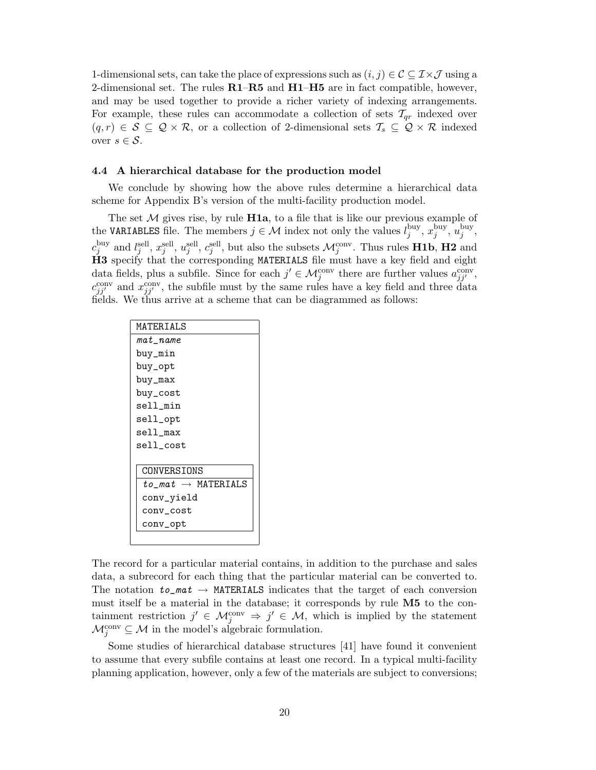1-dimensional sets, can take the place of expressions such as  $(i, j) \in \mathcal{C} \subseteq \mathcal{I} \times \mathcal{J}$  using a 2-dimensional set. The rules **R1**–**R5** and **H1**–**H5** are in fact compatible, however, and may be used together to provide a richer variety of indexing arrangements. For example, these rules can accommodate a collection of sets  $T_{qr}$  indexed over  $(q, r) \in S \subseteq Q \times \mathcal{R}$ , or a collection of 2-dimensional sets  $\mathcal{T}_s \subseteq Q \times \mathcal{R}$  indexed over  $s \in \mathcal{S}$ .

#### **4.4 A hierarchical database for the production model**

We conclude by showing how the above rules determine a hierarchical data scheme for Appendix B's version of the multi-facility production model.

The set  $M$  gives rise, by rule  $H1a$ , to a file that is like our previous example of the VARIABLES file. The members  $j \in \mathcal{M}$  index not only the values  $l_j^{\text{buy}}, x_j^{\text{buy}}, u_j^{\text{buy}},$  $c_j^{\text{buy}}$  and  $l_j^{\text{sell}}, x_j^{\text{sell}}, u_j^{\text{sell}}, c_j^{\text{sell}},$  but also the subsets  $\mathcal{M}_j^{\text{conv}}$ . Thus rules **H1b**, **H2** and **H3** specify that the corresponding MATERIALS file must have a key field and eight data fields, plus a subfile. Since for each  $j' \in \mathcal{M}_j^{\text{conv}}$  there are further values  $a_{jj'}^{\text{conv}}$ ,  $c_{jj'}^{\text{conv}}$  and  $x_{jj'}^{\text{conv}}$ , the subfile must by the same rules have a key field and three data fields. We thus arrive at a scheme that can be diagrammed as follows:

| MATERIALS                      |
|--------------------------------|
| mat name                       |
| buy_min                        |
| buy_opt                        |
| buy_max                        |
| buy_cost                       |
| sell_min                       |
| sell_opt                       |
| sell max                       |
| sell cost                      |
|                                |
| CONVERSIONS                    |
| to mat $\rightarrow$ MATERIALS |
| conv_yield                     |
| conv_cost                      |
| conv_opt                       |
|                                |

The record for a particular material contains, in addition to the purchase and sales data, a subrecord for each thing that the particular material can be converted to. The notation  $to_mat \rightarrow \text{MATERIALS}$  indicates that the target of each conversion must itself be a material in the database; it corresponds by rule **M5** to the containment restriction  $j' \in \mathcal{M}_j^{\text{conv}} \Rightarrow j' \in \mathcal{M}$ , which is implied by the statement  $\mathcal{M}_j^{\text{conv}} \subseteq \mathcal{M}$  in the model's algebraic formulation.

Some studies of hierarchical database structures [41] have found it convenient to assume that every subfile contains at least one record. In a typical multi-facility planning application, however, only a few of the materials are subject to conversions;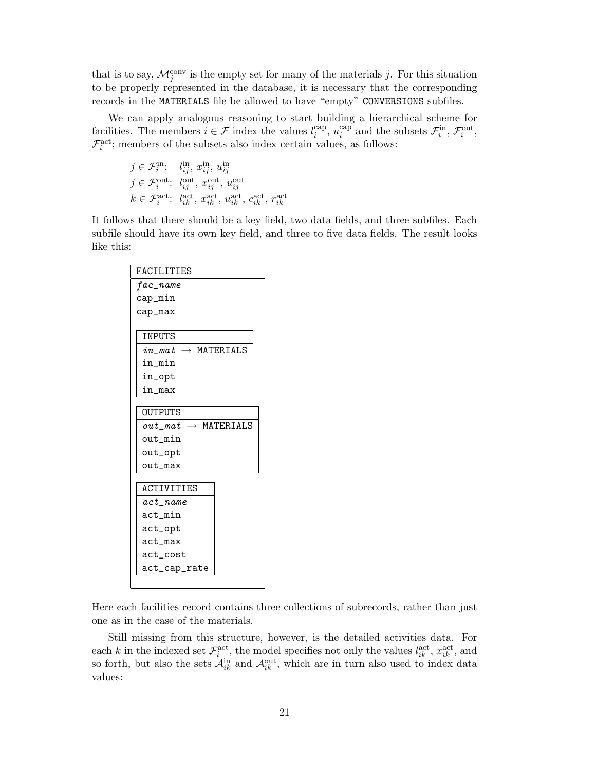that is to say,  $\mathcal{M}_j^{\text{conv}}$  is the empty set for many of the materials j. For this situation to be properly represented in the database, it is necessary that the corresponding records in the MATERIALS file be allowed to have "empty" CONVERSIONS subfiles.

We can apply analogous reasoning to start building a hierarchical scheme for facilities. The members  $i \in \mathcal{F}$  index the values  $l_i^{cap}$ ,  $u_i^{cap}$  and the subsets  $\mathcal{F}_i^{in}$ ,  $\mathcal{F}_i^{out}$ ,  $\mathcal{F}^{\text{act}}_i$ ; members of the subsets also index certain values, as follows:

$$
j \in \mathcal{F}_i^{\text{in}}: \quad l_{ij}^{\text{in}}, x_{ij}^{\text{in}}, u_{ij}^{\text{in}} \nj \in \mathcal{F}_i^{\text{out}}: \quad l_{ij}^{\text{out}}, x_{ij}^{\text{out}}, u_{ij}^{\text{out}} \nk \in \mathcal{F}_i^{\text{act}}: \quad l_{ik}^{\text{act}}, x_{ik}^{\text{act}}, u_{ik}^{\text{act}}, c_{ik}^{\text{act}}, r_{ik}^{\text{act}}
$$

It follows that there should be a key field, two data fields, and three subfiles. Each subfile should have its own key field, and three to five data fields. The result looks like this:

| FACILITIES                       |
|----------------------------------|
| fac_name                         |
| cap_min                          |
| cap_max                          |
|                                  |
| <b>TNPUTS</b>                    |
| $in\_mat \rightarrow$ MATERIALS  |
| in_min                           |
| in_opt                           |
| in_max                           |
|                                  |
| <b>OUTPUTS</b>                   |
| $out\_mat \rightarrow$ MATERIALS |
| out_min                          |
| out_opt                          |
| out_max                          |
|                                  |
| <b>ACTIVITIES</b>                |
| $act_name$                       |
| act_min                          |
| act_opt                          |
| act_max                          |
| act_cost                         |
| act_cap_rate                     |
|                                  |

Here each facilities record contains three collections of subrecords, rather than just one as in the case of the materials.

Still missing from this structure, however, is the detailed activities data. For each k in the indexed set  $\mathcal{F}^{\text{act}}_i$ , the model specifies not only the values  $l_{ik}^{\text{act}}, x_{ik}^{\text{act}},$  and so forth, but also the sets  $\mathcal{A}_{ik}^{\text{in}}$  and  $\mathcal{A}_{ik}^{\text{out}}$ , which are in turn also used to index data values: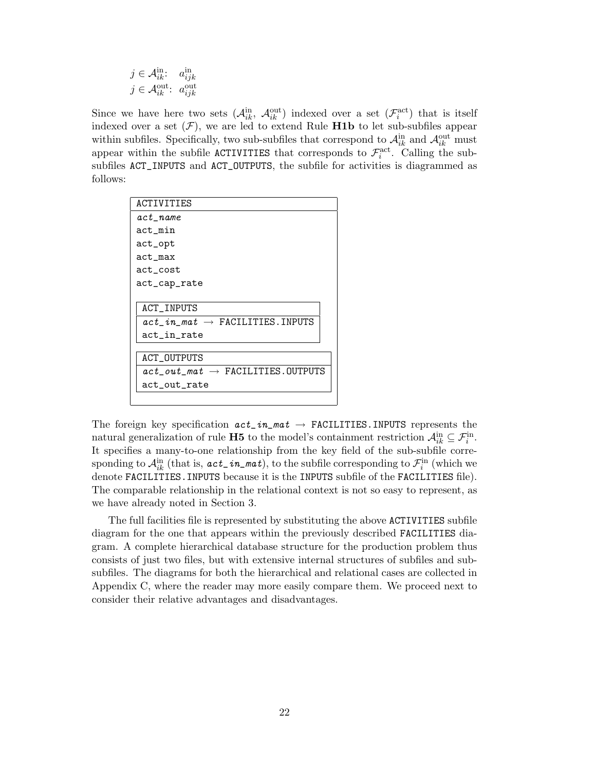$$
j \in \mathcal{A}_{ik}^{\text{in}}: \quad a_{ijk}^{\text{in}} j \in \mathcal{A}_{ik}^{\text{out}}: \quad a_{ijk}^{\text{out}}
$$

Since we have here two sets  $(A_{ik}^{\text{in}}, A_{ik}^{\text{out}})$  indexed over a set  $(\mathcal{F}_i^{\text{act}})$  that is itself indexed over a set  $(\mathcal{F})$ , we are led to extend Rule **H1b** to let sub-subfiles appear within subfiles. Specifically, two sub-subfiles that correspond to  $\mathcal{A}_{ik}^{\text{in}}$  and  $\mathcal{A}_{ik}^{\text{out}}$  must appear within the subfile ACTIVITIES that corresponds to  $\mathcal{F}^{\text{act}}_i$ . Calling the subsubfiles ACT\_INPUTS and ACT\_OUTPUTS, the subfile for activities is diagrammed as follows:

| ACTIVITIES                                      |
|-------------------------------------------------|
| act name                                        |
| act_min                                         |
| act_opt                                         |
| act_max                                         |
| act_cost                                        |
| act_cap_rate                                    |
|                                                 |
| <b>ACT_INPUTS</b>                               |
| $act\_in\_mat \rightarrow$ FACILITIES. INPUTS   |
| act_in_rate                                     |
|                                                 |
| ACT_OUTPUTS                                     |
| $act\_out\_mat \rightarrow$ FACILITIES. OUTPUTS |
| act_out_rate                                    |
|                                                 |

The foreign key specification  $act_in\_mat \rightarrow$  FACILITIES. INPUTS represents the natural generalization of rule **H5** to the model's containment restriction  $\mathcal{A}_{ik}^{\text{in}} \subseteq \mathcal{F}_i^{\text{in}}$ . It specifies a many-to-one relationship from the key field of the sub-subfile corresponding to  $\mathcal{A}_{ik}^{\text{in}}$  (that is,  $\texttt{act\_in\_mat}$ ), to the subfile corresponding to  $\mathcal{F}_i^{\text{in}}$  (which we denote FACILITIES.INPUTS because it is the INPUTS subfile of the FACILITIES file). The comparable relationship in the relational context is not so easy to represent, as we have already noted in Section 3.

The full facilities file is represented by substituting the above ACTIVITIES subfile diagram for the one that appears within the previously described FACILITIES diagram. A complete hierarchical database structure for the production problem thus consists of just two files, but with extensive internal structures of subfiles and subsubfiles. The diagrams for both the hierarchical and relational cases are collected in Appendix C, where the reader may more easily compare them. We proceed next to consider their relative advantages and disadvantages.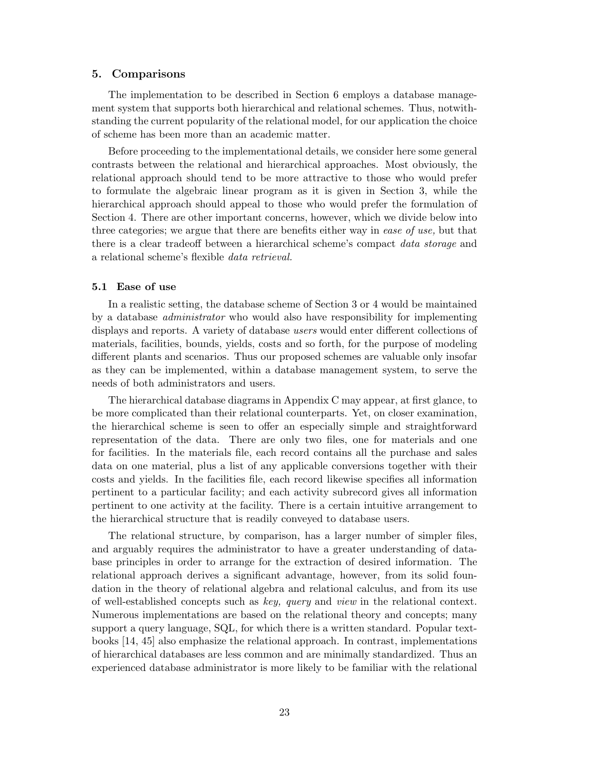#### **5. Comparisons**

The implementation to be described in Section 6 employs a database management system that supports both hierarchical and relational schemes. Thus, notwithstanding the current popularity of the relational model, for our application the choice of scheme has been more than an academic matter.

Before proceeding to the implementational details, we consider here some general contrasts between the relational and hierarchical approaches. Most obviously, the relational approach should tend to be more attractive to those who would prefer to formulate the algebraic linear program as it is given in Section 3, while the hierarchical approach should appeal to those who would prefer the formulation of Section 4. There are other important concerns, however, which we divide below into three categories; we argue that there are benefits either way in ease of use, but that there is a clear tradeoff between a hierarchical scheme's compact data storage and a relational scheme's flexible data retrieval.

#### **5.1 Ease of use**

In a realistic setting, the database scheme of Section 3 or 4 would be maintained by a database administrator who would also have responsibility for implementing displays and reports. A variety of database users would enter different collections of materials, facilities, bounds, yields, costs and so forth, for the purpose of modeling different plants and scenarios. Thus our proposed schemes are valuable only insofar as they can be implemented, within a database management system, to serve the needs of both administrators and users.

The hierarchical database diagrams in Appendix C may appear, at first glance, to be more complicated than their relational counterparts. Yet, on closer examination, the hierarchical scheme is seen to offer an especially simple and straightforward representation of the data. There are only two files, one for materials and one for facilities. In the materials file, each record contains all the purchase and sales data on one material, plus a list of any applicable conversions together with their costs and yields. In the facilities file, each record likewise specifies all information pertinent to a particular facility; and each activity subrecord gives all information pertinent to one activity at the facility. There is a certain intuitive arrangement to the hierarchical structure that is readily conveyed to database users.

The relational structure, by comparison, has a larger number of simpler files, and arguably requires the administrator to have a greater understanding of database principles in order to arrange for the extraction of desired information. The relational approach derives a significant advantage, however, from its solid foundation in the theory of relational algebra and relational calculus, and from its use of well-established concepts such as key, query and view in the relational context. Numerous implementations are based on the relational theory and concepts; many support a query language, SQL, for which there is a written standard. Popular textbooks [14, 45] also emphasize the relational approach. In contrast, implementations of hierarchical databases are less common and are minimally standardized. Thus an experienced database administrator is more likely to be familiar with the relational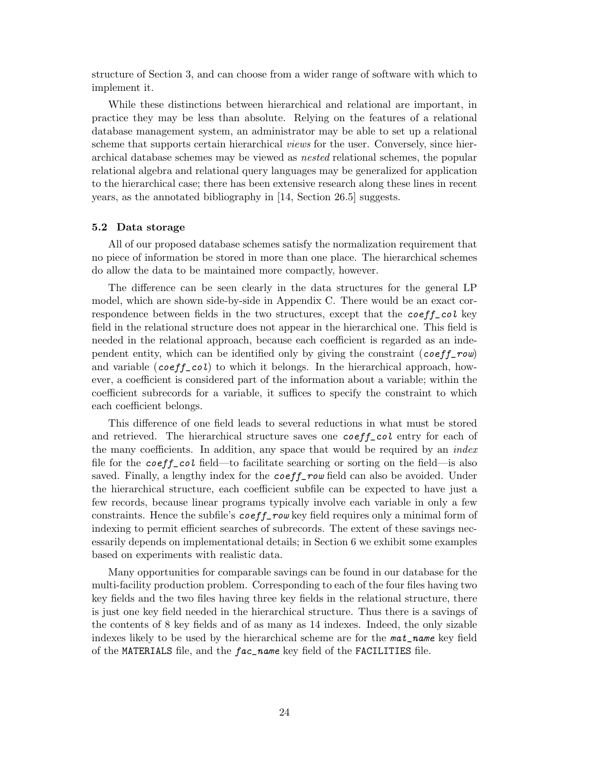structure of Section 3, and can choose from a wider range of software with which to implement it.

While these distinctions between hierarchical and relational are important, in practice they may be less than absolute. Relying on the features of a relational database management system, an administrator may be able to set up a relational scheme that supports certain hierarchical *views* for the user. Conversely, since hierarchical database schemes may be viewed as nested relational schemes, the popular relational algebra and relational query languages may be generalized for application to the hierarchical case; there has been extensive research along these lines in recent years, as the annotated bibliography in [14, Section 26.5] suggests.

#### **5.2 Data storage**

All of our proposed database schemes satisfy the normalization requirement that no piece of information be stored in more than one place. The hierarchical schemes do allow the data to be maintained more compactly, however.

The difference can be seen clearly in the data structures for the general LP model, which are shown side-by-side in Appendix C. There would be an exact correspondence between fields in the two structures, except that the *coeff\_col* key field in the relational structure does not appear in the hierarchical one. This field is needed in the relational approach, because each coefficient is regarded as an independent entity, which can be identified only by giving the constraint (coeff\_row) and variable ( $\text{coeff}_\text{1} \text{col}$ ) to which it belongs. In the hierarchical approach, however, a coefficient is considered part of the information about a variable; within the coefficient subrecords for a variable, it suffices to specify the constraint to which each coefficient belongs.

This difference of one field leads to several reductions in what must be stored and retrieved. The hierarchical structure saves one coeff col entry for each of the many coefficients. In addition, any space that would be required by an *index* file for the coeff\_col field—to facilitate searching or sorting on the field—is also saved. Finally, a lengthy index for the  $\omega_{eff}$  row field can also be avoided. Under the hierarchical structure, each coefficient subfile can be expected to have just a few records, because linear programs typically involve each variable in only a few constraints. Hence the subfile's coeff\_row key field requires only a minimal form of indexing to permit efficient searches of subrecords. The extent of these savings necessarily depends on implementational details; in Section 6 we exhibit some examples based on experiments with realistic data.

Many opportunities for comparable savings can be found in our database for the multi-facility production problem. Corresponding to each of the four files having two key fields and the two files having three key fields in the relational structure, there is just one key field needed in the hierarchical structure. Thus there is a savings of the contents of 8 key fields and of as many as 14 indexes. Indeed, the only sizable indexes likely to be used by the hierarchical scheme are for the  $mat_name$  key field of the MATERIALS file, and the fac\_name key field of the FACILITIES file.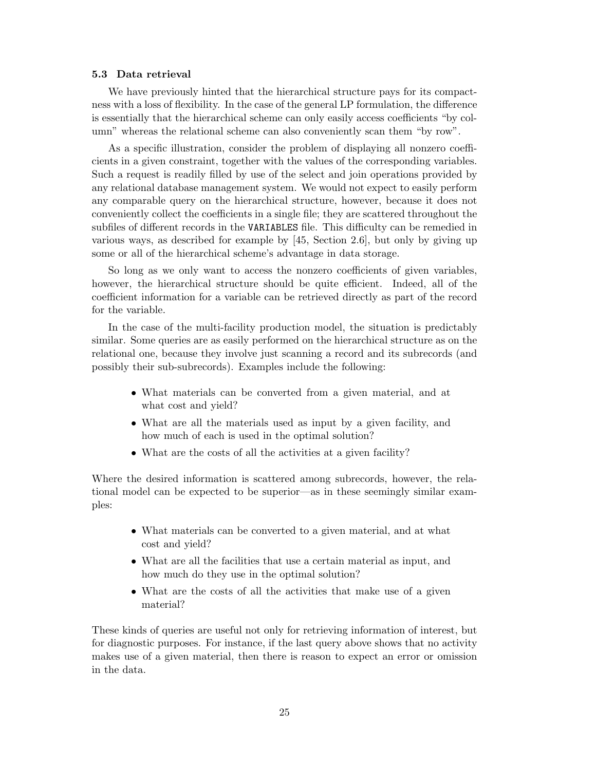#### **5.3 Data retrieval**

We have previously hinted that the hierarchical structure pays for its compactness with a loss of flexibility. In the case of the general LP formulation, the difference is essentially that the hierarchical scheme can only easily access coefficients "by column" whereas the relational scheme can also conveniently scan them "by row".

As a specific illustration, consider the problem of displaying all nonzero coefficients in a given constraint, together with the values of the corresponding variables. Such a request is readily filled by use of the select and join operations provided by any relational database management system. We would not expect to easily perform any comparable query on the hierarchical structure, however, because it does not conveniently collect the coefficients in a single file; they are scattered throughout the subfiles of different records in the VARIABLES file. This difficulty can be remedied in various ways, as described for example by [45, Section 2.6], but only by giving up some or all of the hierarchical scheme's advantage in data storage.

So long as we only want to access the nonzero coefficients of given variables, however, the hierarchical structure should be quite efficient. Indeed, all of the coefficient information for a variable can be retrieved directly as part of the record for the variable.

In the case of the multi-facility production model, the situation is predictably similar. Some queries are as easily performed on the hierarchical structure as on the relational one, because they involve just scanning a record and its subrecords (and possibly their sub-subrecords). Examples include the following:

- What materials can be converted from a given material, and at what cost and yield?
- What are all the materials used as input by a given facility, and how much of each is used in the optimal solution?
- What are the costs of all the activities at a given facility?

Where the desired information is scattered among subrecords, however, the relational model can be expected to be superior—as in these seemingly similar examples:

- What materials can be converted to a given material, and at what cost and yield?
- What are all the facilities that use a certain material as input, and how much do they use in the optimal solution?
- What are the costs of all the activities that make use of a given material?

These kinds of queries are useful not only for retrieving information of interest, but for diagnostic purposes. For instance, if the last query above shows that no activity makes use of a given material, then there is reason to expect an error or omission in the data.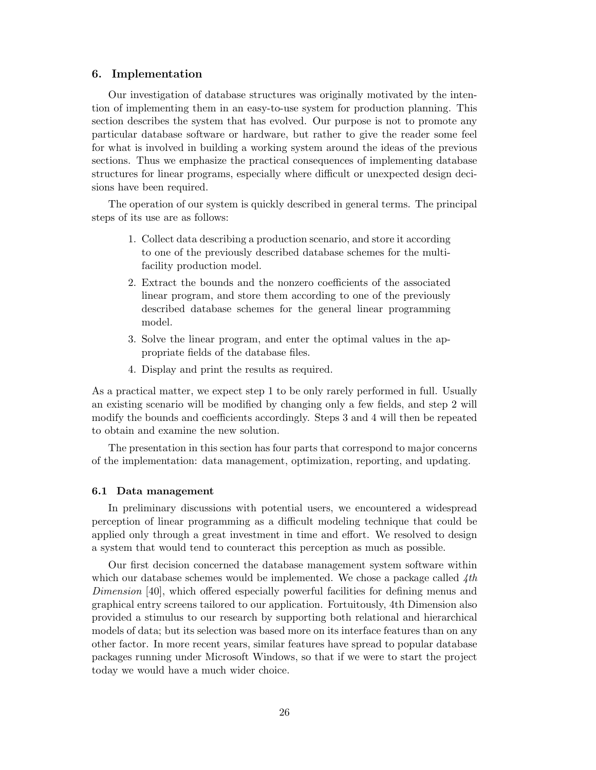#### **6. Implementation**

Our investigation of database structures was originally motivated by the intention of implementing them in an easy-to-use system for production planning. This section describes the system that has evolved. Our purpose is not to promote any particular database software or hardware, but rather to give the reader some feel for what is involved in building a working system around the ideas of the previous sections. Thus we emphasize the practical consequences of implementing database structures for linear programs, especially where difficult or unexpected design decisions have been required.

The operation of our system is quickly described in general terms. The principal steps of its use are as follows:

- 1. Collect data describing a production scenario, and store it according to one of the previously described database schemes for the multifacility production model.
- 2. Extract the bounds and the nonzero coefficients of the associated linear program, and store them according to one of the previously described database schemes for the general linear programming model.
- 3. Solve the linear program, and enter the optimal values in the appropriate fields of the database files.
- 4. Display and print the results as required.

As a practical matter, we expect step 1 to be only rarely performed in full. Usually an existing scenario will be modified by changing only a few fields, and step 2 will modify the bounds and coefficients accordingly. Steps 3 and 4 will then be repeated to obtain and examine the new solution.

The presentation in this section has four parts that correspond to major concerns of the implementation: data management, optimization, reporting, and updating.

#### **6.1 Data management**

In preliminary discussions with potential users, we encountered a widespread perception of linear programming as a difficult modeling technique that could be applied only through a great investment in time and effort. We resolved to design a system that would tend to counteract this perception as much as possible.

Our first decision concerned the database management system software within which our database schemes would be implemented. We chose a package called  $4th$ Dimension [40], which offered especially powerful facilities for defining menus and graphical entry screens tailored to our application. Fortuitously, 4th Dimension also provided a stimulus to our research by supporting both relational and hierarchical models of data; but its selection was based more on its interface features than on any other factor. In more recent years, similar features have spread to popular database packages running under Microsoft Windows, so that if we were to start the project today we would have a much wider choice.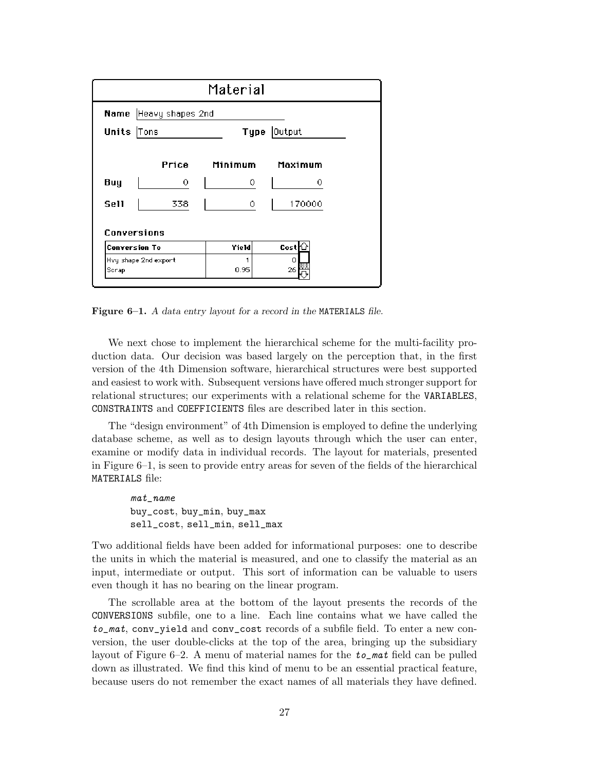| Material                      |       |                |             |  |  |
|-------------------------------|-------|----------------|-------------|--|--|
| Name Heavy shapes 2nd         |       |                |             |  |  |
| Units Tons                    |       |                | Type Output |  |  |
|                               | Price | <b>Minimum</b> | Maximum     |  |  |
| Buy                           | 0     | 0              | 0           |  |  |
| <b>Sell</b>                   | 338   | 0              | 170000      |  |  |
| <b>Conversions</b>            |       |                |             |  |  |
| <b>Conversion To</b>          |       | Yield          | Cost        |  |  |
| Hvy shape 2nd export<br>Sorap |       | 1<br>0.95      | л<br>26     |  |  |

**Figure 6–1.** *A data entry layout for a record in the* MATERIALS *file.*

We next chose to implement the hierarchical scheme for the multi-facility production data. Our decision was based largely on the perception that, in the first version of the 4th Dimension software, hierarchical structures were best supported and easiest to work with. Subsequent versions have offered much stronger support for relational structures; our experiments with a relational scheme for the VARIABLES, CONSTRAINTS and COEFFICIENTS files are described later in this section.

The "design environment" of 4th Dimension is employed to define the underlying database scheme, as well as to design layouts through which the user can enter, examine or modify data in individual records. The layout for materials, presented in Figure 6–1, is seen to provide entry areas for seven of the fields of the hierarchical MATERIALS file:

```
mat_name
buy_cost, buy_min, buy_max
sell_cost, sell_min, sell_max
```
Two additional fields have been added for informational purposes: one to describe the units in which the material is measured, and one to classify the material as an input, intermediate or output. This sort of information can be valuable to users even though it has no bearing on the linear program.

The scrollable area at the bottom of the layout presents the records of the CONVERSIONS subfile, one to a line. Each line contains what we have called the to\_mat, conv\_yield and conv\_cost records of a subfile field. To enter a new conversion, the user double-clicks at the top of the area, bringing up the subsidiary layout of Figure 6–2. A menu of material names for the  $to$ -mat field can be pulled down as illustrated. We find this kind of menu to be an essential practical feature, because users do not remember the exact names of all materials they have defined.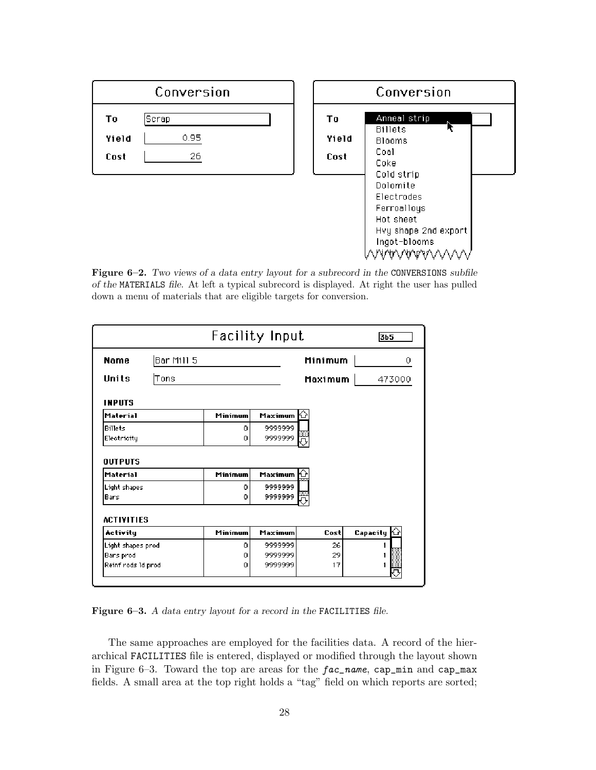

**Figure 6–2.** *Two views of a data entry layout for a subrecord in the* CONVERSIONS *subfile of the* MATERIALS *file.* At left a typical subrecord is displayed. At right the user has pulled down a menu of materials that are eligible targets for conversion.

| Facility Input<br>3ь5             |            |                |                    |          |          |
|-----------------------------------|------------|----------------|--------------------|----------|----------|
| Name                              | Bar Mill 5 |                |                    | Minimum  | 0        |
| Units                             | Tons       |                |                    | Maximum  | 473000   |
| <b>INPUTS</b>                     |            |                |                    |          |          |
| <b>Material</b>                   |            | <b>Minimum</b> |                    |          |          |
| <b>Billets</b>                    |            | 0              | 9999999            |          |          |
| Electricity                       |            | 0              | 9999999            |          |          |
|                                   |            |                |                    |          |          |
| <b>OUTPUTS</b><br><b>Material</b> |            | Minimum        | Maximum            |          |          |
| Light shapes                      |            | 0              | 9999999            |          |          |
| Bars                              |            | 0              | 9999999            |          |          |
| <b>ACTIVITIES</b>                 |            |                |                    |          |          |
| Activity                          |            | <b>Minimum</b> | <b>Maximum</b>     | Cost     | Capacity |
| Light shapes prod                 |            | о              | 9999999            | 26       |          |
| Bars prod<br>Reinf rods 1d prod   |            | 0<br>0         | 9999999<br>9999999 | 29<br>17 |          |

**Figure 6–3.** *A data entry layout for a record in the* FACILITIES *file.*

The same approaches are employed for the facilities data. A record of the hierarchical FACILITIES file is entered, displayed or modified through the layout shown in Figure 6–3. Toward the top are areas for the  $fac_name$ , cap\_min and cap\_max fields. A small area at the top right holds a "tag" field on which reports are sorted;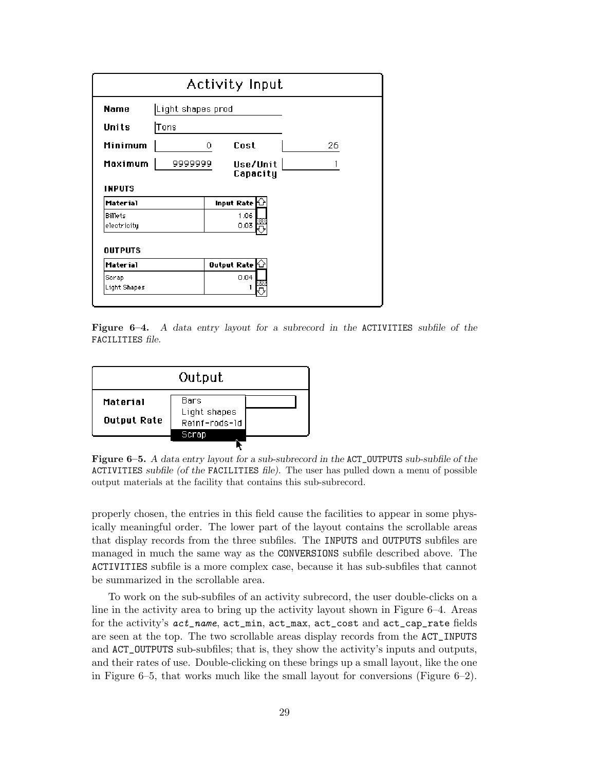| Activity Input         |                   |                      |    |  |
|------------------------|-------------------|----------------------|----|--|
| Name                   | Light shapes prod |                      |    |  |
| Units                  | Tons              |                      |    |  |
| Minimum                | 0                 | Cost                 | 26 |  |
| Maximum                | 9999999           | Use/Unit<br>Capacity |    |  |
| <b>INPUTS</b>          |                   |                      |    |  |
| Material               |                   | Input Rate           |    |  |
| Billets<br>electricity |                   | 1.06<br>0.03         |    |  |
| <b>OUTPUTS</b>         |                   |                      |    |  |
| <b>Material</b>        |                   | <b>Output Rate</b>   |    |  |
| Sorap<br>Light Shapes  |                   | 0.04                 |    |  |

**Figure 6–4.** *A data entry layout for a subrecord in the* ACTIVITIES *subfile of the* FACILITIES *file.*



**Figure 6–5.** *A data entry layout for a sub-subrecord in the* ACT\_OUTPUTS *sub-subfile of the* ACTIVITIES *subfile (of the* FACILITIES *file).* The user has pulled down a menu of possible output materials at the facility that contains this sub-subrecord.

properly chosen, the entries in this field cause the facilities to appear in some physically meaningful order. The lower part of the layout contains the scrollable areas that display records from the three subfiles. The INPUTS and OUTPUTS subfiles are managed in much the same way as the CONVERSIONS subfile described above. The ACTIVITIES subfile is a more complex case, because it has sub-subfiles that cannot be summarized in the scrollable area.

To work on the sub-subfiles of an activity subrecord, the user double-clicks on a line in the activity area to bring up the activity layout shown in Figure 6–4. Areas for the activity's  $act_name$ ,  $act\_min$ ,  $act_max$ ,  $act\_cost$  and  $act\_cap\_rate$  fields are seen at the top. The two scrollable areas display records from the ACT\_INPUTS and ACT\_OUTPUTS sub-subfiles; that is, they show the activity's inputs and outputs, and their rates of use. Double-clicking on these brings up a small layout, like the one in Figure 6–5, that works much like the small layout for conversions (Figure 6–2).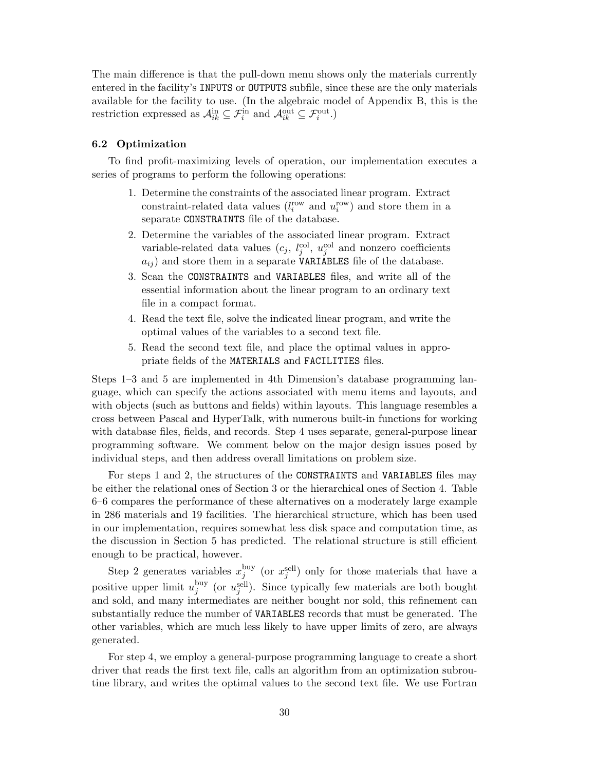The main difference is that the pull-down menu shows only the materials currently entered in the facility's INPUTS or OUTPUTS subfile, since these are the only materials available for the facility to use. (In the algebraic model of Appendix B, this is the restriction expressed as  $\mathcal{A}_{ik}^{\text{in}} \subseteq \mathcal{F}_i^{\text{in}}$  and  $\mathcal{A}_{ik}^{\text{out}} \subseteq \mathcal{F}_i^{\text{out}}$ .)

#### **6.2 Optimization**

To find profit-maximizing levels of operation, our implementation executes a series of programs to perform the following operations:

- 1. Determine the constraints of the associated linear program. Extract constraint-related data values  $(l_i^{\text{row}})$  and  $u_i^{\text{row}}$ ) and store them in a separate CONSTRAINTS file of the database.
- 2. Determine the variables of the associated linear program. Extract variable-related data values  $(c_j, l_j^{\text{col}}, u_j^{\text{col}})$  and nonzero coefficients  $a_{ij}$ ) and store them in a separate VARIABLES file of the database.
- 3. Scan the CONSTRAINTS and VARIABLES files, and write all of the essential information about the linear program to an ordinary text file in a compact format.
- 4. Read the text file, solve the indicated linear program, and write the optimal values of the variables to a second text file.
- 5. Read the second text file, and place the optimal values in appropriate fields of the MATERIALS and FACILITIES files.

Steps 1–3 and 5 are implemented in 4th Dimension's database programming language, which can specify the actions associated with menu items and layouts, and with objects (such as buttons and fields) within layouts. This language resembles a cross between Pascal and HyperTalk, with numerous built-in functions for working with database files, fields, and records. Step 4 uses separate, general-purpose linear programming software. We comment below on the major design issues posed by individual steps, and then address overall limitations on problem size.

For steps 1 and 2, the structures of the CONSTRAINTS and VARIABLES files may be either the relational ones of Section 3 or the hierarchical ones of Section 4. Table 6–6 compares the performance of these alternatives on a moderately large example in 286 materials and 19 facilities. The hierarchical structure, which has been used in our implementation, requires somewhat less disk space and computation time, as the discussion in Section 5 has predicted. The relational structure is still efficient enough to be practical, however.

Step 2 generates variables  $x_j^{\text{buy}}$  (or  $x_j^{\text{sell}}$ ) only for those materials that have a positive upper limit  $u_j^{\text{buy}}$  (or  $u_j^{\text{sell}}$ ). Since typically few materials are both bought and sold, and many intermediates are neither bought nor sold, this refinement can substantially reduce the number of VARIABLES records that must be generated. The other variables, which are much less likely to have upper limits of zero, are always generated.

For step 4, we employ a general-purpose programming language to create a short driver that reads the first text file, calls an algorithm from an optimization subroutine library, and writes the optimal values to the second text file. We use Fortran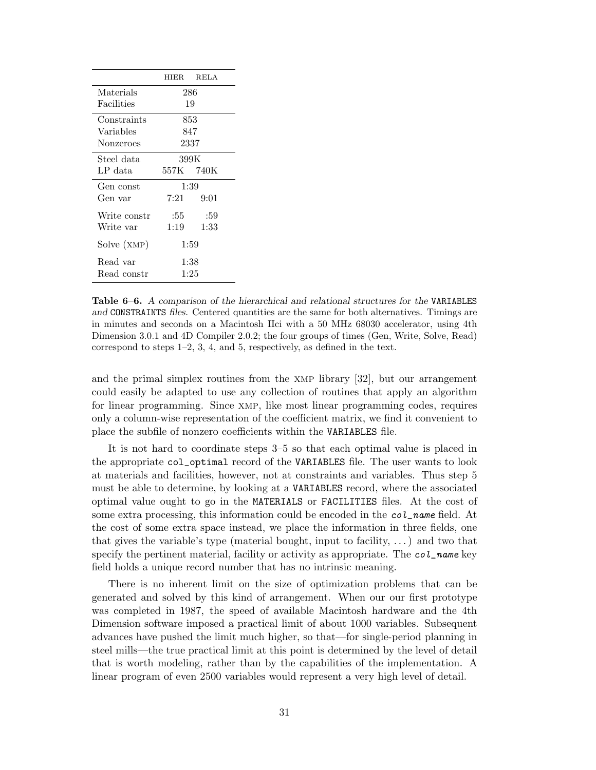|                  | HIER RELA    |
|------------------|--------------|
| Materials        | 286          |
| Facilities       | 19           |
| Constraints      | 853          |
| Variables        | 847          |
| <b>Nonzeroes</b> | 2337         |
| Steel data       | 399K         |
| LP data          | 557K 740K    |
| Gen const        | 1:39         |
| Gen var          | 7:21<br>9:01 |
| Write constr     | :55<br>:59   |
| Write var        | 1:19<br>1:33 |
| Solve (XMP)      | 1:59         |
| Read var         | 1:38         |
| Read constr      | 1:25         |

**Table 6–6.** *A comparison of the hierarchical and relational structures for the* VARIABLES *and* CONSTRAINTS *files.* Centered quantities are the same for both alternatives. Timings are in minutes and seconds on a Macintosh IIci with a 50MHz 68030accelerator, using 4th Dimension 3.0.1 and 4D Compiler 2.0.2; the four groups of times (Gen, Write, Solve, Read) correspond to steps 1–2, 3, 4, and 5, respectively, as defined in the text.

and the primal simplex routines from the xmp library [32], but our arrangement could easily be adapted to use any collection of routines that apply an algorithm for linear programming. Since xmp, like most linear programming codes, requires only a column-wise representation of the coefficient matrix, we find it convenient to place the subfile of nonzero coefficients within the VARIABLES file.

It is not hard to coordinate steps 3–5 so that each optimal value is placed in the appropriate col\_optimal record of the VARIABLES file. The user wants to look at materials and facilities, however, not at constraints and variables. Thus step 5 must be able to determine, by looking at a VARIABLES record, where the associated optimal value ought to go in the MATERIALS or FACILITIES files. At the cost of some extra processing, this information could be encoded in the col\_name field. At the cost of some extra space instead, we place the information in three fields, one that gives the variable's type (material bought, input to facility,  $\dots$ ) and two that specify the pertinent material, facility or activity as appropriate. The  $col_name$  key field holds a unique record number that has no intrinsic meaning.

There is no inherent limit on the size of optimization problems that can be generated and solved by this kind of arrangement. When our our first prototype was completed in 1987, the speed of available Macintosh hardware and the 4th Dimension software imposed a practical limit of about 1000 variables. Subsequent advances have pushed the limit much higher, so that—for single-period planning in steel mills—the true practical limit at this point is determined by the level of detail that is worth modeling, rather than by the capabilities of the implementation. A linear program of even 2500 variables would represent a very high level of detail.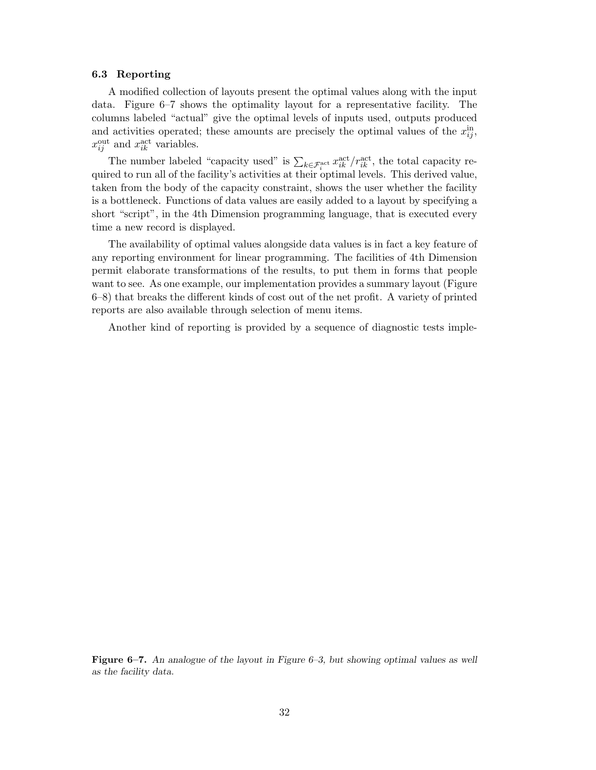#### **6.3 Reporting**

A modified collection of layouts present the optimal values along with the input data. Figure 6–7 shows the optimality layout for a representative facility. The columns labeled "actual" give the optimal levels of inputs used, outputs produced and activities operated; these amounts are precisely the optimal values of the  $x_{ij}^{\text{in}}$ ,  $x_{ij}^{\text{out}}$  and  $x_{ik}^{\text{act}}$  variables.

The number labeled "capacity used" is  $\sum_{k \in \mathcal{F}_i^{\text{act}}} x_{ik}^{\text{act}}/r_{ik}^{\text{act}}$ , the total capacity required to run all of the facility's activities at their optimal levels. This derived value, taken from the body of the capacity constraint, shows the user whether the facility is a bottleneck. Functions of data values are easily added to a layout by specifying a short "script", in the 4th Dimension programming language, that is executed every time a new record is displayed.

The availability of optimal values alongside data values is in fact a key feature of any reporting environment for linear programming. The facilities of 4th Dimension permit elaborate transformations of the results, to put them in forms that people want to see. As one example, our implementation provides a summary layout (Figure 6–8) that breaks the different kinds of cost out of the net profit. A variety of printed reports are also available through selection of menu items.

Another kind of reporting is provided by a sequence of diagnostic tests imple-

**Figure 6–7.** *An analogue of the layout in Figure 6–3, but showing optimal values as well as the facility data.*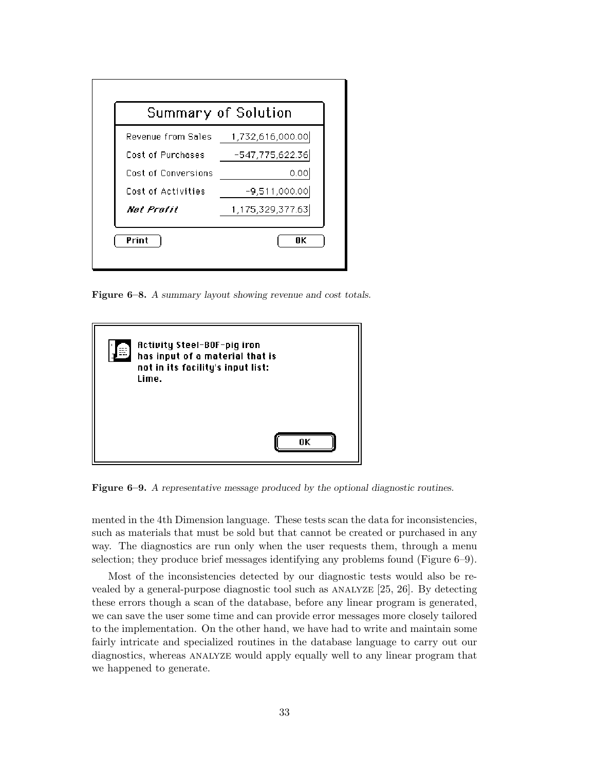|                     | Summary of Solution |
|---------------------|---------------------|
| Revenue from Sales  | 1,732,616,000.00    |
| Cost of Purchases   | -547,775,622.36     |
| Cost of Conversions | 0.00                |
| Cost of Activities  | $-9,511,000.00$     |
| Net Prafit          | 1,175,329,377.63    |

**Figure 6–8.** *A summary layout showing revenue and cost totals.*



**Figure 6–9.** *A representative message produced by the optional diagnostic routines.*

mented in the 4th Dimension language. These tests scan the data for inconsistencies, such as materials that must be sold but that cannot be created or purchased in any way. The diagnostics are run only when the user requests them, through a menu selection; they produce brief messages identifying any problems found (Figure 6–9).

Most of the inconsistencies detected by our diagnostic tests would also be revealed by a general-purpose diagnostic tool such as analyze [25, 26]. By detecting these errors though a scan of the database, before any linear program is generated, we can save the user some time and can provide error messages more closely tailored to the implementation. On the other hand, we have had to write and maintain some fairly intricate and specialized routines in the database language to carry out our diagnostics, whereas analyze would apply equally well to any linear program that we happened to generate.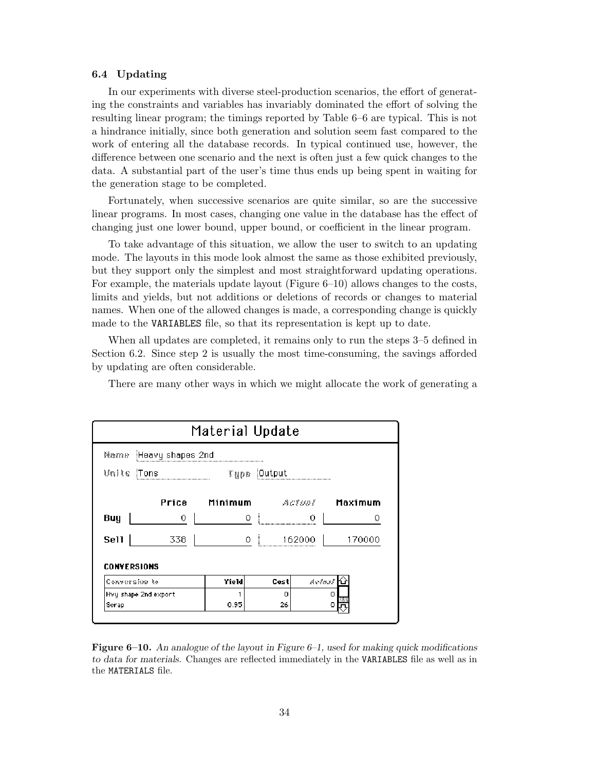## **6.4 Updating**

In our experiments with diverse steel-production scenarios, the effort of generating the constraints and variables has invariably dominated the effort of solving the resulting linear program; the timings reported by Table 6–6 are typical. This is not a hindrance initially, since both generation and solution seem fast compared to the work of entering all the database records. In typical continued use, however, the difference between one scenario and the next is often just a few quick changes to the data. A substantial part of the user's time thus ends up being spent in waiting for the generation stage to be completed.

Fortunately, when successive scenarios are quite similar, so are the successive linear programs. In most cases, changing one value in the database has the effect of changing just one lower bound, upper bound, or coefficient in the linear program.

To take advantage of this situation, we allow the user to switch to an updating mode. The layouts in this mode look almost the same as those exhibited previously, but they support only the simplest and most straightforward updating operations. For example, the materials update layout (Figure 6–10) allows changes to the costs, limits and yields, but not additions or deletions of records or changes to material names. When one of the allowed changes is made, a corresponding change is quickly made to the VARIABLES file, so that its representation is kept up to date.

When all updates are completed, it remains only to run the steps 3–5 defined in Section 6.2. Since step 2 is usually the most time-consuming, the savings afforded by updating are often considerable.

| There are many other ways in which we might allocate the work of generating a |  |  |  |
|-------------------------------------------------------------------------------|--|--|--|
|                                                                               |  |  |  |

| Material Update    |                       |         |              |        |         |
|--------------------|-----------------------|---------|--------------|--------|---------|
|                    | Name Heavy shapes 2nd |         |              |        |         |
| Units Tons         |                       |         | Tgpe  Output |        |         |
|                    | Price                 | Minimum |              | ハロマロック | Maximum |
| Buy                | 0                     |         | 0            | n      | 0       |
| <b>Sell</b>        | 338                   |         | 0            | 162000 | 170000  |
| <b>CONVERSIONS</b> |                       |         |              |        |         |
| Conversion to      |                       | Yield   | Cost         | ketast |         |
| Sorap              | Hvy shape 2nd export  | 0.95    | 0<br>26      |        |         |

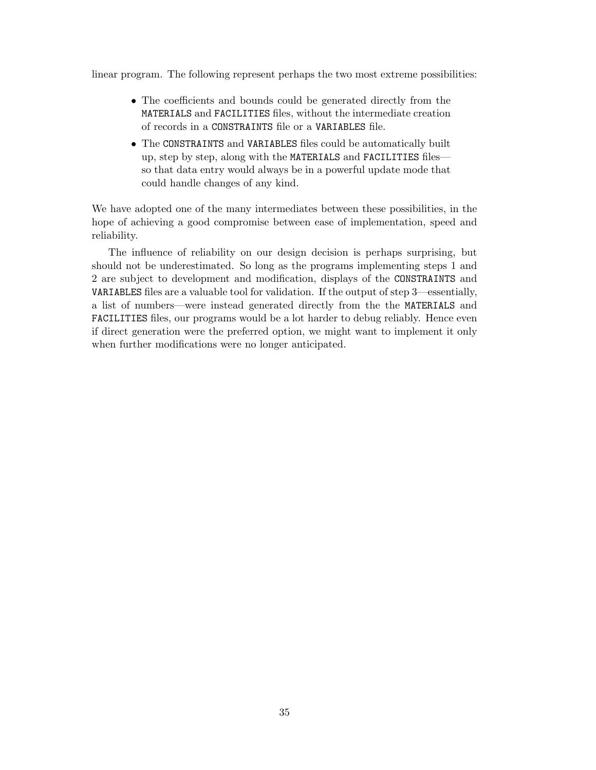linear program. The following represent perhaps the two most extreme possibilities:

- The coefficients and bounds could be generated directly from the MATERIALS and FACILITIES files, without the intermediate creation of records in a CONSTRAINTS file or a VARIABLES file.
- The CONSTRAINTS and VARIABLES files could be automatically built up, step by step, along with the MATERIALS and FACILITIES files so that data entry would always be in a powerful update mode that could handle changes of any kind.

We have adopted one of the many intermediates between these possibilities, in the hope of achieving a good compromise between ease of implementation, speed and reliability.

The influence of reliability on our design decision is perhaps surprising, but should not be underestimated. So long as the programs implementing steps 1 and 2 are subject to development and modification, displays of the CONSTRAINTS and VARIABLES files are a valuable tool for validation. If the output of step 3—essentially, a list of numbers—were instead generated directly from the the MATERIALS and FACILITIES files, our programs would be a lot harder to debug reliably. Hence even if direct generation were the preferred option, we might want to implement it only when further modifications were no longer anticipated.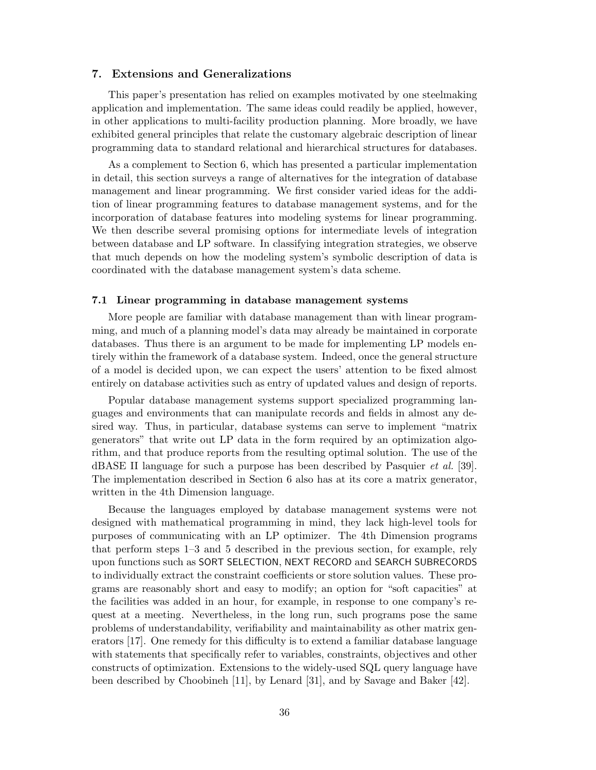#### **7. Extensions and Generalizations**

This paper's presentation has relied on examples motivated by one steelmaking application and implementation. The same ideas could readily be applied, however, in other applications to multi-facility production planning. More broadly, we have exhibited general principles that relate the customary algebraic description of linear programming data to standard relational and hierarchical structures for databases.

As a complement to Section 6, which has presented a particular implementation in detail, this section surveys a range of alternatives for the integration of database management and linear programming. We first consider varied ideas for the addition of linear programming features to database management systems, and for the incorporation of database features into modeling systems for linear programming. We then describe several promising options for intermediate levels of integration between database and LP software. In classifying integration strategies, we observe that much depends on how the modeling system's symbolic description of data is coordinated with the database management system's data scheme.

#### **7.1 Linear programming in database management systems**

More people are familiar with database management than with linear programming, and much of a planning model's data may already be maintained in corporate databases. Thus there is an argument to be made for implementing LP models entirely within the framework of a database system. Indeed, once the general structure of a model is decided upon, we can expect the users' attention to be fixed almost entirely on database activities such as entry of updated values and design of reports.

Popular database management systems support specialized programming languages and environments that can manipulate records and fields in almost any desired way. Thus, in particular, database systems can serve to implement "matrix generators" that write out LP data in the form required by an optimization algorithm, and that produce reports from the resulting optimal solution. The use of the dBASE II language for such a purpose has been described by Pasquier et al. [39]. The implementation described in Section 6 also has at its core a matrix generator, written in the 4th Dimension language.

Because the languages employed by database management systems were not designed with mathematical programming in mind, they lack high-level tools for purposes of communicating with an LP optimizer. The 4th Dimension programs that perform steps 1–3 and 5 described in the previous section, for example, rely upon functions such as SORT SELECTION, NEXT RECORD and SEARCH SUBRECORDS to individually extract the constraint coefficients or store solution values. These programs are reasonably short and easy to modify; an option for "soft capacities" at the facilities was added in an hour, for example, in response to one company's request at a meeting. Nevertheless, in the long run, such programs pose the same problems of understandability, verifiability and maintainability as other matrix generators [17]. One remedy for this difficulty is to extend a familiar database language with statements that specifically refer to variables, constraints, objectives and other constructs of optimization. Extensions to the widely-used SQL query language have been described by Choobineh [11], by Lenard [31], and by Savage and Baker [42].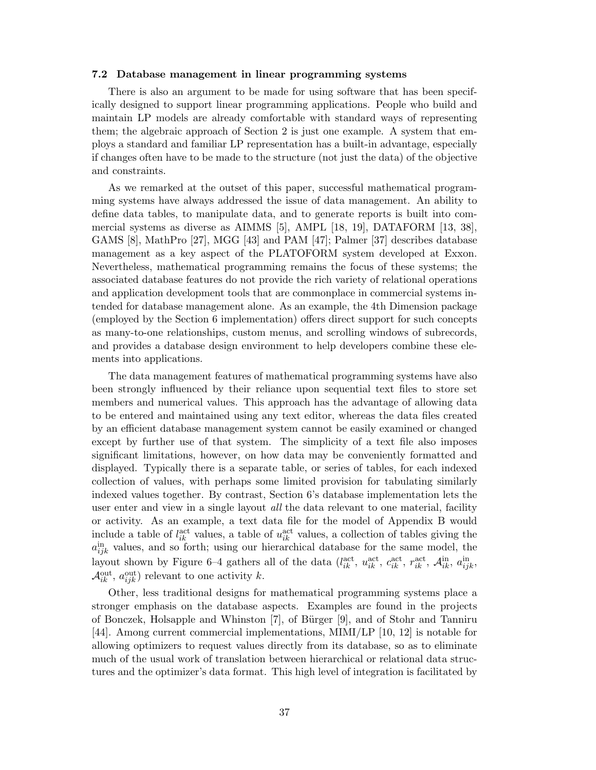#### **7.2 Database management in linear programming systems**

There is also an argument to be made for using software that has been specifically designed to support linear programming applications. People who build and maintain LP models are already comfortable with standard ways of representing them; the algebraic approach of Section 2 is just one example. A system that employs a standard and familiar LP representation has a built-in advantage, especially if changes often have to be made to the structure (not just the data) of the objective and constraints.

As we remarked at the outset of this paper, successful mathematical programming systems have always addressed the issue of data management. An ability to define data tables, to manipulate data, and to generate reports is built into commercial systems as diverse as AIMMS [5], AMPL [18, 19], DATAFORM [13, 38], GAMS [8], MathPro [27], MGG [43] and PAM [47]; Palmer [37] describes database management as a key aspect of the PLATOFORM system developed at Exxon. Nevertheless, mathematical programming remains the focus of these systems; the associated database features do not provide the rich variety of relational operations and application development tools that are commonplace in commercial systems intended for database management alone. As an example, the 4th Dimension package (employed by the Section 6 implementation) offers direct support for such concepts as many-to-one relationships, custom menus, and scrolling windows of subrecords, and provides a database design environment to help developers combine these elements into applications.

The data management features of mathematical programming systems have also been strongly influenced by their reliance upon sequential text files to store set members and numerical values. This approach has the advantage of allowing data to be entered and maintained using any text editor, whereas the data files created by an efficient database management system cannot be easily examined or changed except by further use of that system. The simplicity of a text file also imposes significant limitations, however, on how data may be conveniently formatted and displayed. Typically there is a separate table, or series of tables, for each indexed collection of values, with perhaps some limited provision for tabulating similarly indexed values together. By contrast, Section 6's database implementation lets the user enter and view in a single layout *all* the data relevant to one material, facility or activity. As an example, a text data file for the model of Appendix B would include a table of  $l_{ik}^{\text{act}}$  values, a table of  $u_{ik}^{\text{act}}$  values, a collection of tables giving the  $a_{ijk}^{\text{in}}$  values, and so forth; using our hierarchical database for the same model, the layout shown by Figure 6-4 gathers all of the data  $(l_{ik}^{\text{act}}, u_{ik}^{\text{act}}, c_{ik}^{\text{act}}, r_{ik}^{\text{act}}, \mathcal{A}_{ik}^{\text{in}}, a_{ijk}^{\text{in}},$  $\mathcal{A}^{\text{out}}_{ik}$ ,  $a^{\text{out}}_{ijk}$  relevant to one activity k.

Other, less traditional designs for mathematical programming systems place a stronger emphasis on the database aspects. Examples are found in the projects of Bonczek, Holsapple and Whinston [7], of B¨urger [9], and of Stohr and Tanniru [44]. Among current commercial implementations, MIMI/LP [10, 12] is notable for allowing optimizers to request values directly from its database, so as to eliminate much of the usual work of translation between hierarchical or relational data structures and the optimizer's data format. This high level of integration is facilitated by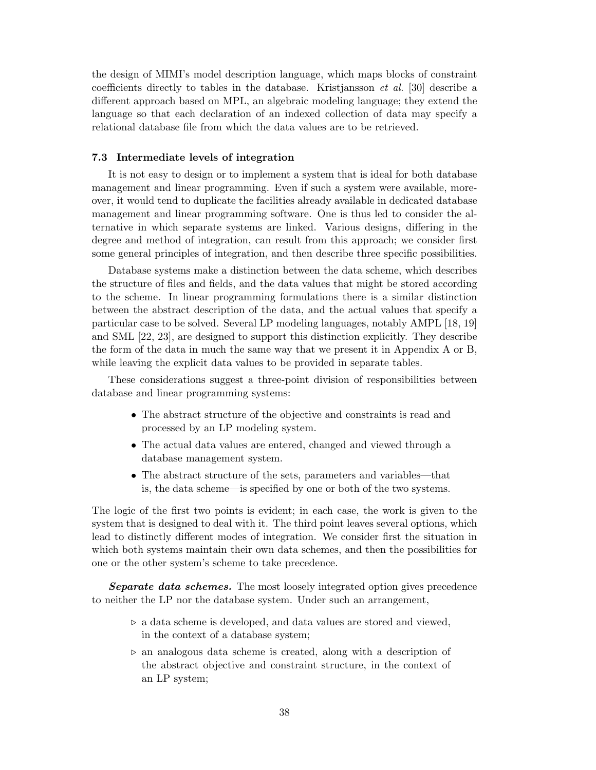the design of MIMI's model description language, which maps blocks of constraint coefficients directly to tables in the database. Kristjansson et al. [30] describe a different approach based on MPL, an algebraic modeling language; they extend the language so that each declaration of an indexed collection of data may specify a relational database file from which the data values are to be retrieved.

#### **7.3 Intermediate levels of integration**

It is not easy to design or to implement a system that is ideal for both database management and linear programming. Even if such a system were available, moreover, it would tend to duplicate the facilities already available in dedicated database management and linear programming software. One is thus led to consider the alternative in which separate systems are linked. Various designs, differing in the degree and method of integration, can result from this approach; we consider first some general principles of integration, and then describe three specific possibilities.

Database systems make a distinction between the data scheme, which describes the structure of files and fields, and the data values that might be stored according to the scheme. In linear programming formulations there is a similar distinction between the abstract description of the data, and the actual values that specify a particular case to be solved. Several LP modeling languages, notably AMPL [18, 19] and SML [22, 23], are designed to support this distinction explicitly. They describe the form of the data in much the same way that we present it in Appendix A or B, while leaving the explicit data values to be provided in separate tables.

These considerations suggest a three-point division of responsibilities between database and linear programming systems:

- The abstract structure of the objective and constraints is read and processed by an LP modeling system.
- The actual data values are entered, changed and viewed through a database management system.
- The abstract structure of the sets, parameters and variables—that is, the data scheme—is specified by one or both of the two systems.

The logic of the first two points is evident; in each case, the work is given to the system that is designed to deal with it. The third point leaves several options, which lead to distinctly different modes of integration. We consider first the situation in which both systems maintain their own data schemes, and then the possibilities for one or the other system's scheme to take precedence.

*Separate data schemes.* The most loosely integrated option gives precedence to neither the LP nor the database system. Under such an arrangement,

- $\triangleright$  a data scheme is developed, and data values are stored and viewed, in the context of a database system;
- $\triangleright$  an analogous data scheme is created, along with a description of the abstract objective and constraint structure, in the context of an LP system;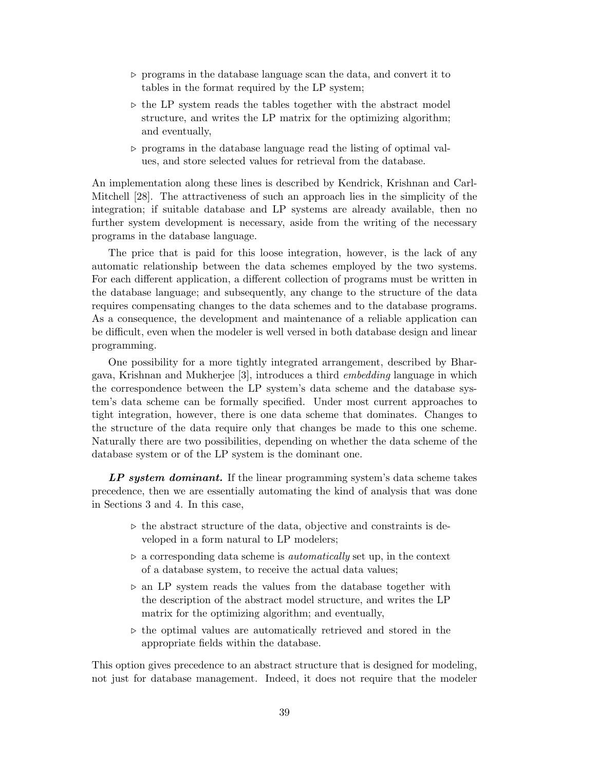- $\triangleright$  programs in the database language scan the data, and convert it to tables in the format required by the LP system;
- $\triangleright$  the LP system reads the tables together with the abstract model structure, and writes the LP matrix for the optimizing algorithm; and eventually,
- $\triangleright$  programs in the database language read the listing of optimal values, and store selected values for retrieval from the database.

An implementation along these lines is described by Kendrick, Krishnan and Carl-Mitchell [28]. The attractiveness of such an approach lies in the simplicity of the integration; if suitable database and LP systems are already available, then no further system development is necessary, aside from the writing of the necessary programs in the database language.

The price that is paid for this loose integration, however, is the lack of any automatic relationship between the data schemes employed by the two systems. For each different application, a different collection of programs must be written in the database language; and subsequently, any change to the structure of the data requires compensating changes to the data schemes and to the database programs. As a consequence, the development and maintenance of a reliable application can be difficult, even when the modeler is well versed in both database design and linear programming.

One possibility for a more tightly integrated arrangement, described by Bhargava, Krishnan and Mukherjee [3], introduces a third embedding language in which the correspondence between the LP system's data scheme and the database system's data scheme can be formally specified. Under most current approaches to tight integration, however, there is one data scheme that dominates. Changes to the structure of the data require only that changes be made to this one scheme. Naturally there are two possibilities, depending on whether the data scheme of the database system or of the LP system is the dominant one.

*LP system dominant.* If the linear programming system's data scheme takes precedence, then we are essentially automating the kind of analysis that was done in Sections 3 and 4. In this case,

- $\triangleright$  the abstract structure of the data, objective and constraints is developed in a form natural to LP modelers;
- $\triangleright$  a corresponding data scheme is *automatically* set up, in the context of a database system, to receive the actual data values;
- $\triangleright$  an LP system reads the values from the database together with the description of the abstract model structure, and writes the LP matrix for the optimizing algorithm; and eventually,
- $\triangleright$  the optimal values are automatically retrieved and stored in the appropriate fields within the database.

This option gives precedence to an abstract structure that is designed for modeling, not just for database management. Indeed, it does not require that the modeler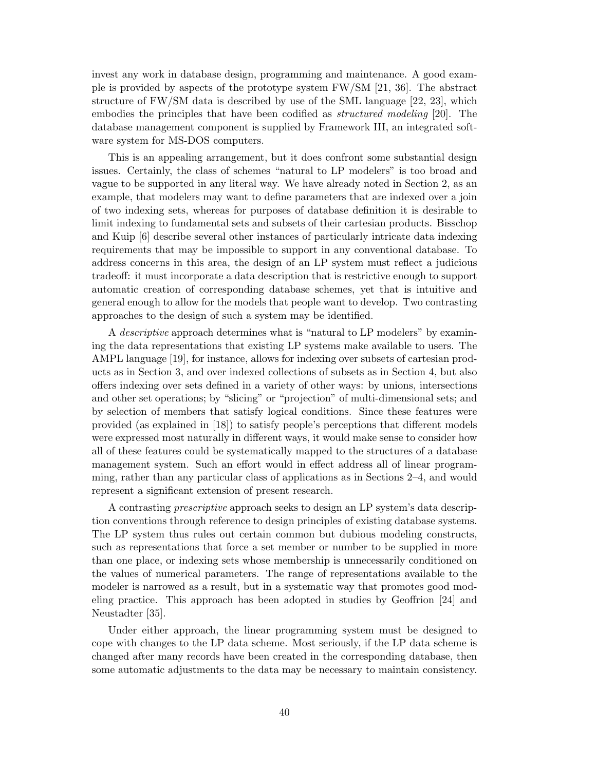invest any work in database design, programming and maintenance. A good example is provided by aspects of the prototype system FW/SM [21, 36]. The abstract structure of FW/SM data is described by use of the SML language [22, 23], which embodies the principles that have been codified as structured modeling [20]. The database management component is supplied by Framework III, an integrated software system for MS-DOS computers.

This is an appealing arrangement, but it does confront some substantial design issues. Certainly, the class of schemes "natural to LP modelers" is too broad and vague to be supported in any literal way. We have already noted in Section 2, as an example, that modelers may want to define parameters that are indexed over a join of two indexing sets, whereas for purposes of database definition it is desirable to limit indexing to fundamental sets and subsets of their cartesian products. Bisschop and Kuip [6] describe several other instances of particularly intricate data indexing requirements that may be impossible to support in any conventional database. To address concerns in this area, the design of an LP system must reflect a judicious tradeoff: it must incorporate a data description that is restrictive enough to support automatic creation of corresponding database schemes, yet that is intuitive and general enough to allow for the models that people want to develop. Two contrasting approaches to the design of such a system may be identified.

A descriptive approach determines what is "natural to LP modelers" by examining the data representations that existing LP systems make available to users. The AMPL language [19], for instance, allows for indexing over subsets of cartesian products as in Section 3, and over indexed collections of subsets as in Section 4, but also offers indexing over sets defined in a variety of other ways: by unions, intersections and other set operations; by "slicing" or "projection" of multi-dimensional sets; and by selection of members that satisfy logical conditions. Since these features were provided (as explained in [18]) to satisfy people's perceptions that different models were expressed most naturally in different ways, it would make sense to consider how all of these features could be systematically mapped to the structures of a database management system. Such an effort would in effect address all of linear programming, rather than any particular class of applications as in Sections 2–4, and would represent a significant extension of present research.

A contrasting prescriptive approach seeks to design an LP system's data description conventions through reference to design principles of existing database systems. The LP system thus rules out certain common but dubious modeling constructs, such as representations that force a set member or number to be supplied in more than one place, or indexing sets whose membership is unnecessarily conditioned on the values of numerical parameters. The range of representations available to the modeler is narrowed as a result, but in a systematic way that promotes good modeling practice. This approach has been adopted in studies by Geoffrion [24] and Neustadter [35].

Under either approach, the linear programming system must be designed to cope with changes to the LP data scheme. Most seriously, if the LP data scheme is changed after many records have been created in the corresponding database, then some automatic adjustments to the data may be necessary to maintain consistency.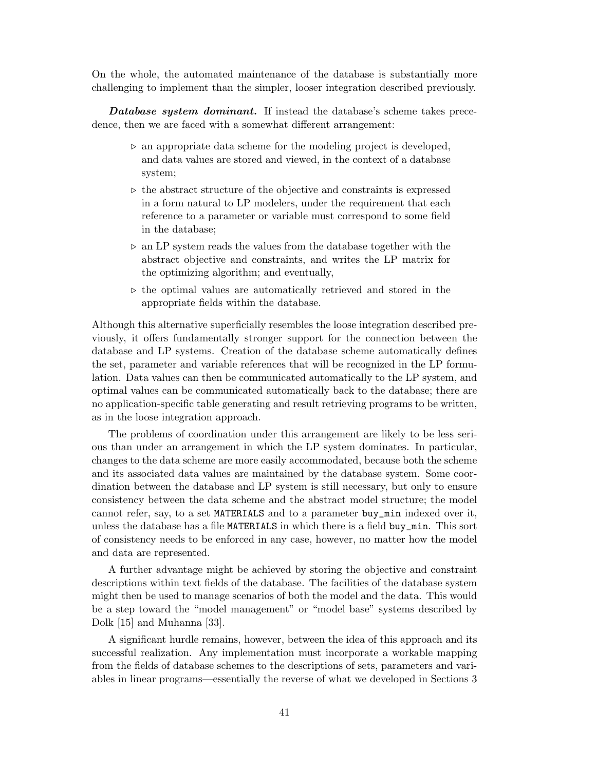On the whole, the automated maintenance of the database is substantially more challenging to implement than the simpler, looser integration described previously.

*Database system dominant.* If instead the database's scheme takes precedence, then we are faced with a somewhat different arrangement:

- $\triangleright$  an appropriate data scheme for the modeling project is developed, and data values are stored and viewed, in the context of a database system;
- $\triangleright$  the abstract structure of the objective and constraints is expressed in a form natural to LP modelers, under the requirement that each reference to a parameter or variable must correspond to some field in the database;
- $\triangleright$  an LP system reads the values from the database together with the abstract objective and constraints, and writes the LP matrix for the optimizing algorithm; and eventually,
- $\triangleright$  the optimal values are automatically retrieved and stored in the appropriate fields within the database.

Although this alternative superficially resembles the loose integration described previously, it offers fundamentally stronger support for the connection between the database and LP systems. Creation of the database scheme automatically defines the set, parameter and variable references that will be recognized in the LP formulation. Data values can then be communicated automatically to the LP system, and optimal values can be communicated automatically back to the database; there are no application-specific table generating and result retrieving programs to be written, as in the loose integration approach.

The problems of coordination under this arrangement are likely to be less serious than under an arrangement in which the LP system dominates. In particular, changes to the data scheme are more easily accommodated, because both the scheme and its associated data values are maintained by the database system. Some coordination between the database and LP system is still necessary, but only to ensure consistency between the data scheme and the abstract model structure; the model cannot refer, say, to a set MATERIALS and to a parameter buy\_min indexed over it, unless the database has a file MATERIALS in which there is a field buy\_min. This sort of consistency needs to be enforced in any case, however, no matter how the model and data are represented.

A further advantage might be achieved by storing the objective and constraint descriptions within text fields of the database. The facilities of the database system might then be used to manage scenarios of both the model and the data. This would be a step toward the "model management" or "model base" systems described by Dolk [15] and Muhanna [33].

A significant hurdle remains, however, between the idea of this approach and its successful realization. Any implementation must incorporate a workable mapping from the fields of database schemes to the descriptions of sets, parameters and variables in linear programs—essentially the reverse of what we developed in Sections 3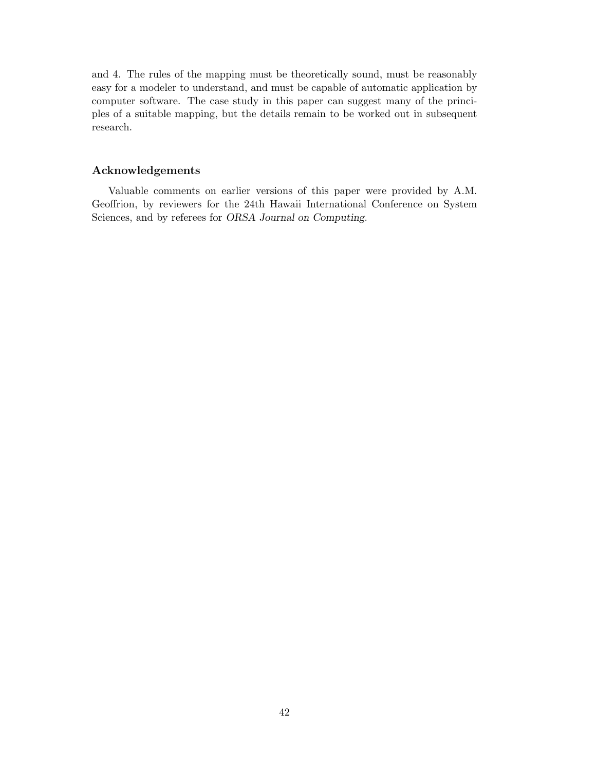and 4. The rules of the mapping must be theoretically sound, must be reasonably easy for a modeler to understand, and must be capable of automatic application by computer software. The case study in this paper can suggest many of the principles of a suitable mapping, but the details remain to be worked out in subsequent research.

## **Acknowledgements**

Valuable comments on earlier versions of this paper were provided by A.M. Geoffrion, by reviewers for the 24th Hawaii International Conference on System Sciences, and by referees for *ORSA Journal on Computing*.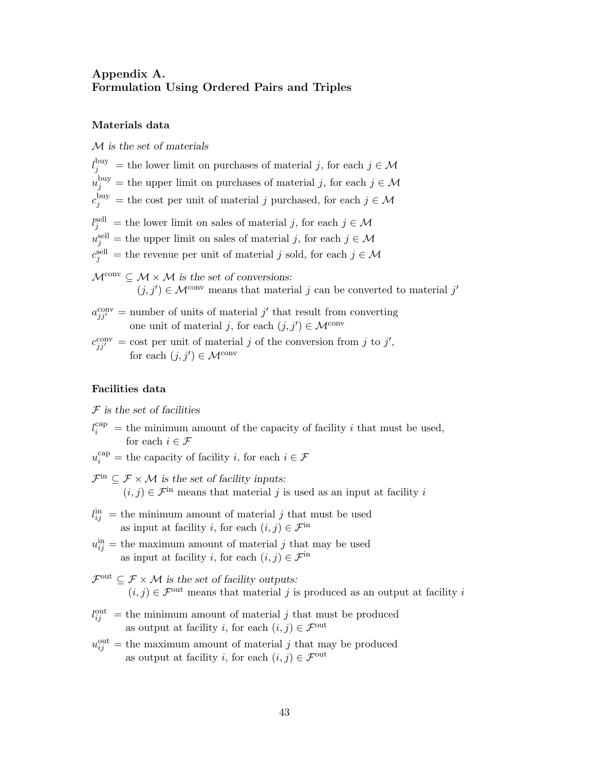## **Appendix A. Formulation Using Ordered Pairs and Triples**

#### **Materials data**

M *is the set of materials*

 $l_j^{\text{buy}}$  = the lower limit on purchases of material j, for each  $j \in \mathcal{M}$  $u_j^{\text{buy}}$  = the upper limit on purchases of material j, for each  $j \in \mathcal{M}$  $c_j^{\text{buy}}$  = the cost per unit of material j purchased, for each  $j \in \mathcal{M}$  $l_j^{\text{sell}}$  = the lower limit on sales of material j, for each  $j \in \mathcal{M}$  $u_j^{\text{sell}} =$  the upper limit on sales of material j, for each  $j \in \mathcal{M}$  $c_j^{\text{sell}} =$  the revenue per unit of material j sold, for each  $j \in \mathcal{M}$  $\mathcal{M}^{\text{conv}} \subseteq \mathcal{M} \times \mathcal{M}$  *is the set of conversions:*  $(j,j')\in\mathcal{M}^{\text{conv}}$  means that material  $j$  can be converted to material  $j'$  $a_{jj'}^{\text{conv}} =$  number of units of material j' that result from converting one unit of material j, for each  $(j, j') \in \mathcal{M}^{\text{conv}}$ 

 $c_{jj'}^{\text{conv}} = \text{cost per unit of material } j \text{ of the conversion from } j \text{ to } j',$ for each  $(j, j') \in \mathcal{M}^{\text{conv}}$ 

#### **Facilities data**

F *is the set of facilities*

- $l_i^{\text{cap}} =$  the minimum amount of the capacity of facility i that must be used, for each  $i \in \mathcal{F}$
- $u_i^{\text{cap}}$  = the capacity of facility *i*, for each  $i \in \mathcal{F}$
- $\mathcal{F}^{\text{in}} \subseteq \mathcal{F} \times \mathcal{M}$  is the set of facility inputs:  $(i, j) \in \mathcal{F}^{\text{in}}$  means that material j is used as an input at facility i
- $l_{ij}^{\text{in}}$  = the minimum amount of material j that must be used as input at facility i, for each  $(i, j) \in \mathcal{F}^{\text{in}}$
- $u_{ij}^{\text{in}} =$  the maximum amount of material j that may be used as input at facility i, for each  $(i, j) \in \mathcal{F}^{\text{in}}$
- $\mathcal{F}^{\text{out}} \subset \mathcal{F} \times \mathcal{M}$  *is the set of facility outputs:*  $(i, j) \in \mathcal{F}^{\text{out}}$  means that material j is produced as an output at facility i
- $l_{ij}^{\text{out}}$  = the minimum amount of material j that must be produced as output at facility *i*, for each  $(i, j) \in \mathcal{F}^{\text{out}}$
- $u_{ij}^{\text{out}} =$  the maximum amount of material j that may be produced as output at facility i, for each  $(i, j) \in \mathcal{F}^{\text{out}}$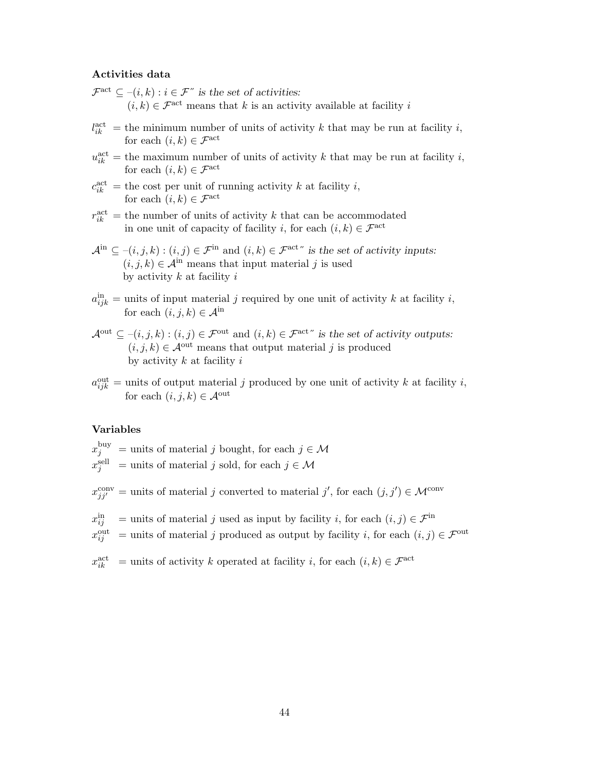#### **Activities data**

- $\mathcal{F}^{\text{act}} \subseteq -(i,k) : i \in \mathcal{F}^{\prime\prime}$  is the set of activities:  $(i, k) \in \mathcal{F}^{\text{act}}$  means that k is an activity available at facility i
- $l_{ik}^{\text{act}}$  = the minimum number of units of activity k that may be run at facility i, for each  $(i, k) \in \mathcal{F}^{\text{act}}$
- $u_{ik}^{\text{act}} =$  the maximum number of units of activity k that may be run at facility i, for each  $(i, k) \in \mathcal{F}^{\text{act}}$
- $c_{ik}^{\text{act}}$  = the cost per unit of running activity k at facility i, for each  $(i, k) \in \mathcal{F}^{\text{act}}$
- $r_{ik}^{\text{act}}$  = the number of units of activity k that can be accommodated in one unit of capacity of facility i, for each  $(i, k) \in \mathcal{F}^{\text{act}}$
- $\mathcal{A}^{in} \subseteq -(i, j, k) : (i, j) \in \mathcal{F}^{in}$  and  $(i, k) \in \mathcal{F}^{act}$  *is the set of activity inputs:*  $(i, j, k) \in \mathcal{A}^{\text{in}}$  means that input material j is used by activity  $k$  at facility  $i$
- $a_{ijk}$  = units of input material j required by one unit of activity k at facility i, for each  $(i, j, k) \in \mathcal{A}^{\text{in}}$
- $\mathcal{A}^{\text{out}} \subseteq -(i, j, k) : (i, j) \in \mathcal{F}^{\text{out}}$  and  $(i, k) \in \mathcal{F}^{\text{act}}$  *is the set of activity outputs:*  $(i, j, k) \in \mathcal{A}^{\text{out}}$  means that output material j is produced by activity  $k$  at facility  $i$
- $a_{ijk}^{\text{out}} =$  units of output material j produced by one unit of activity k at facility i, for each  $(i, j, k) \in \mathcal{A}^{\text{out}}$

#### **Variables**

$$
x_j^{\text{buy}} = \text{units of material } j \text{ bought, for each } j \in \mathcal{M}
$$
  

$$
x_j^{\text{sell}} = \text{units of material } j \text{ sold, for each } j \in \mathcal{M}
$$

- $x_{jj'}^{\text{conv}} = \text{units of material } j \text{ converted to material } j', \text{ for each } (j, j') \in \mathcal{M}^{\text{conv}}$
- $x_{ii}$ = units of material j used as input by facility i, for each  $(i, j) \in \mathcal{F}^{\text{in}}$
- $x_{ij}^{\text{out}}$  = units of material j produced as output by facility i, for each  $(i, j) \in \mathcal{F}^{\text{out}}$

 $x_{ik}^{\text{act}}$  = units of activity k operated at facility i, for each  $(i, k) \in \mathcal{F}^{\text{act}}$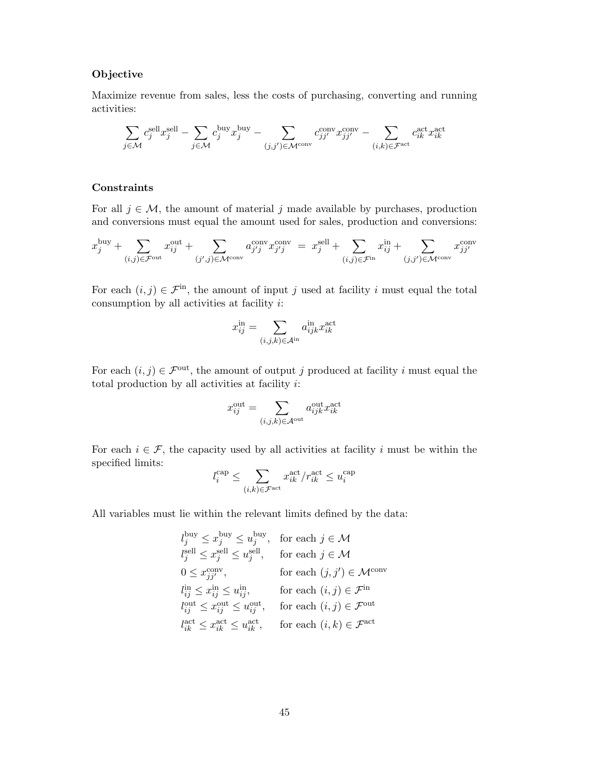## **Objective**

Maximize revenue from sales, less the costs of purchasing, converting and running activities:

$$
\sum_{j\in\mathcal{M}}c_{j}^{\text{sell}}x_{j}^{\text{sell}}-\sum_{j\in\mathcal{M}}c_{j}^{\text{buy}}x_{j}^{\text{buy}}-\sum_{(j,j')\in\mathcal{M}^{\text{conv}}}c_{jj'}^{\text{conv}}x_{jj'}^{\text{conv}}-\sum_{(i,k)\in\mathcal{F}^{\text{act}}}c_{ik}^{\text{act}}x_{ik}^{\text{act}}
$$

## **Constraints**

For all  $j \in \mathcal{M}$ , the amount of material j made available by purchases, production and conversions must equal the amount used for sales, production and conversions:

$$
x_j^{\text{buy}} + \sum_{(i,j) \in \mathcal{F}^{\text{out}}} x_{ij}^{\text{out}} + \sum_{(j',j) \in \mathcal{M}^{\text{conv}}} a_{j'j}^{\text{conv}} x_{j'j}^{\text{conv}} = x_j^{\text{sell}} + \sum_{(i,j) \in \mathcal{F}^{\text{in}}} x_{ij}^{\text{in}} + \sum_{(j,j') \in \mathcal{M}^{\text{conv}}} x_{jj'}^{\text{conv}}
$$

For each  $(i, j) \in \mathcal{F}^{\text{in}}$ , the amount of input j used at facility i must equal the total consumption by all activities at facility i:

$$
x_{ij}^{\text{in}} = \sum_{(i,j,k)\in\mathcal{A}^{\text{in}}} a_{ijk}^{\text{in}} x_{ik}^{\text{act}}
$$

For each  $(i, j) \in \mathcal{F}^{\text{out}}$ , the amount of output j produced at facility i must equal the total production by all activities at facility  $i$ :

$$
x_{ij}^{\text{out}} = \sum_{(i,j,k) \in \mathcal{A}^{\text{out}}} a_{ijk}^{\text{out}} x_{ik}^{\text{act}}
$$

For each  $i \in \mathcal{F}$ , the capacity used by all activities at facility i must be within the specified limits:

$$
l_i^{\rm cap} \leq \sum_{(i,k) \in \mathcal{F}^{\rm act}} x_{ik}^{\rm act}/r_{ik}^{\rm act} \leq u_i^{\rm cap}
$$

All variables must lie within the relevant limits defined by the data:

$$
l_j^{\text{buy}} \leq x_j^{\text{buy}} \leq u_j^{\text{buy}}, \quad \text{for each } j \in \mathcal{M}
$$
  
\n
$$
l_j^{\text{sell}} \leq x_j^{\text{sell}} \leq u_j^{\text{sell}}, \quad \text{for each } j \in \mathcal{M}
$$
  
\n
$$
0 \leq x_{jj'}^{\text{conv}}, \quad \text{for each } (j, j') \in \mathcal{M}^{\text{conv}}
$$
  
\n
$$
l_{ij}^{\text{in}} \leq x_{ij}^{\text{in}} \leq u_{ij}^{\text{in}}, \quad \text{for each } (i, j) \in \mathcal{F}^{\text{in}}
$$
  
\n
$$
l_{ij}^{\text{out}} \leq x_{ij}^{\text{out}} \leq u_{ij}^{\text{out}}, \quad \text{for each } (i, j) \in \mathcal{F}^{\text{out}}
$$
  
\n
$$
l_{ik}^{\text{act}} \leq x_{ik}^{\text{act}} \leq u_{ik}^{\text{act}}, \quad \text{for each } (i, k) \in \mathcal{F}^{\text{act}}
$$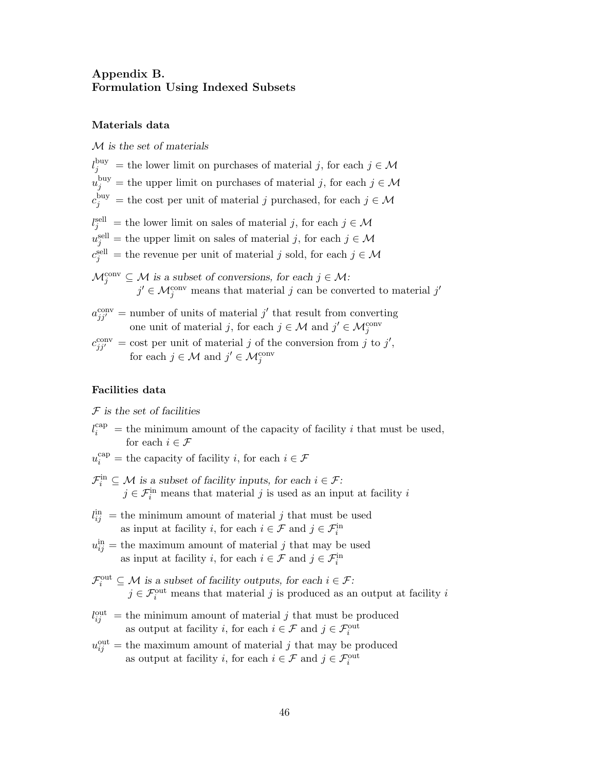## **Appendix B. Formulation Using Indexed Subsets**

#### **Materials data**

M *is the set of materials*

 $l_j^{\text{buy}}$  = the lower limit on purchases of material j, for each  $j \in \mathcal{M}$  $u_j^{\text{buy}}$  = the upper limit on purchases of material j, for each  $j \in \mathcal{M}$  $c_j^{\text{buy}}$  = the cost per unit of material j purchased, for each  $j \in \mathcal{M}$  $l_j^{\text{sell}}$  = the lower limit on sales of material j, for each  $j \in \mathcal{M}$  $u_j^{\text{sell}} =$  the upper limit on sales of material j, for each  $j \in \mathcal{M}$  $c_j^{\text{sell}} =$  the revenue per unit of material j sold, for each  $j \in \mathcal{M}$  $\mathcal{M}_j^{\text{conv}} \subseteq \mathcal{M}$  is a subset of conversions, for each  $j \in \mathcal{M}$ :  $j' \in \mathcal{M}_j^{\text{conv}}$  means that material  $j$  can be converted to material  $j'$  $a_{jj'}^{\text{conv}} =$  number of units of material j' that result from converting one unit of material j, for each  $j \in \mathcal{M}$  and  $j' \in \mathcal{M}_j^{\text{conv}}$  $c_{jj'}^{\text{conv}} = \text{cost per unit of material } j \text{ of the conversion from } j \text{ to } j',$ for each  $j \in \mathcal{M}$  and  $j' \in \mathcal{M}_j^{\text{conv}}$ 

#### **Facilities data**

F *is the set of facilities*

- $l_i^{\text{cap}} =$  the minimum amount of the capacity of facility i that must be used, for each  $i \in \mathcal{F}$
- $u_i^{\text{cap}}$  = the capacity of facility *i*, for each  $i \in \mathcal{F}$
- $\mathcal{F}_i^{\text{in}} \subseteq \mathcal{M}$  is a subset of facility inputs, for each  $i \in \mathcal{F}$ :  $j \in \mathcal{F}_i^{\text{in}}$  means that material  $j$  is used as an input at facility  $i$
- $l_{ij}^{\text{in}}$  = the minimum amount of material j that must be used as input at facility *i*, for each  $i \in \mathcal{F}$  and  $j \in \mathcal{F}_i^{\text{in}}$
- $u_{ij}^{\text{in}} =$  the maximum amount of material j that may be used as input at facility *i*, for each  $i \in \mathcal{F}$  and  $j \in \mathcal{F}_i^{\text{in}}$
- $\mathcal{F}^{\text{out}}_i \subseteq \mathcal{M}$  is a subset of facility outputs, for each  $i \in \mathcal{F}$ :  $j \in \mathcal{F}^{\text{out}}_i$  means that material  $j$  is produced as an output at facility  $i$
- $l_{ij}^{\text{out}}$  = the minimum amount of material j that must be produced as output at facility *i*, for each  $i \in \mathcal{F}$  and  $j \in \mathcal{F}^{\text{out}}_i$
- $u_{ij}^{\text{out}} =$  the maximum amount of material j that may be produced as output at facility *i*, for each  $i \in \mathcal{F}$  and  $j \in \mathcal{F}^{\text{out}}_i$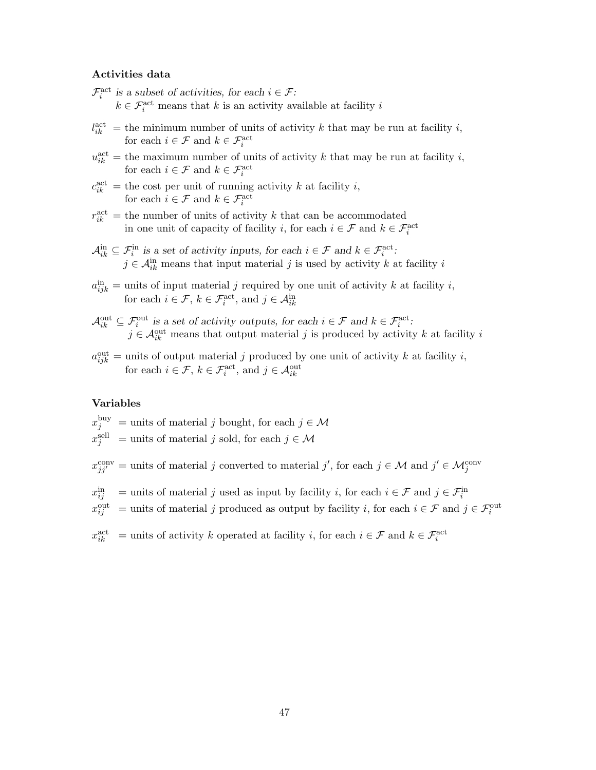#### **Activities data**

- $\mathcal{F}^{\text{act}}_i$  is a subset of activities, for each  $i \in \mathcal{F}$ :  $k \in \mathcal{F}^{\rm act}_i$  means that  $k$  is an activity available at facility  $i$
- $l_{ik}^{\text{act}}$  = the minimum number of units of activity k that may be run at facility i, for each  $i \in \mathcal{F}$  and  $k \in \mathcal{F}_i^{\text{act}}$
- $u_{ik}^{\text{act}} =$  the maximum number of units of activity k that may be run at facility i, for each  $i \in \mathcal{F}$  and  $k \in \mathcal{F}_i^{\text{act}}$
- $c_{ik}^{\text{act}}$  = the cost per unit of running activity k at facility i, for each  $i \in \mathcal{F}$  and  $k \in \mathcal{F}_i^{\text{act}}$
- $r_{ik}^{\text{act}}$  = the number of units of activity k that can be accommodated in one unit of capacity of facility *i*, for each  $i \in \mathcal{F}$  and  $k \in \mathcal{F}^{\text{act}}_i$
- $\mathcal{A}_{ik}^{\text{in}} \subseteq \mathcal{F}_i^{\text{in}}$  is a set of activity inputs, for each  $i \in \mathcal{F}$  and  $k \in \mathcal{F}_i^{\text{act}}$ :  $j \in \mathcal{A}_{ik}^{\text{in}}$  means that input material j is used by activity k at facility i
- $a_{ijk}^{in}$  = units of input material j required by one unit of activity k at facility i, for each  $i \in \mathcal{F}$ ,  $k \in \mathcal{F}^{\text{act}}_i$ , and  $j \in \mathcal{A}^{\text{in}}_{ik}$
- $\mathcal{A}_{ik}^{\text{out}} \subseteq \mathcal{F}_i^{\text{out}}$  is a set of activity outputs, for each  $i \in \mathcal{F}$  and  $k \in \mathcal{F}_i^{\text{act}}$ :  $j \in \mathcal{A}_{ik}^{\text{out}}$  means that output material j is produced by activity k at facility i
- $a_{ijk}^{\text{out}} =$  units of output material j produced by one unit of activity k at facility i, for each  $i \in \mathcal{F}$ ,  $k \in \mathcal{F}^{\text{act}}_i$ , and  $j \in \mathcal{A}^{\text{out}}_{ik}$

#### **Variables**

$$
x_j^{\text{buy}} = \text{units of material } j \text{ bought, for each } j \in \mathcal{M}
$$
  

$$
x_j^{\text{sell}} = \text{units of material } j \text{ sold, for each } j \in \mathcal{M}
$$

 $x_{jj'}^{\text{conv}} = \text{units of material } j \text{ converted to material } j', \text{ for each } j \in \mathcal{M} \text{ and } j' \in \mathcal{M}_j^{\text{conv}}$ 

- $x_{ii}$  $i_j$ <sup>in</sup> = units of material j used as input by facility i, for each  $i \in \mathcal{F}$  and  $j \in \mathcal{F}_i^{\text{in}}$
- $x_{ii}^{\text{out}}$  $\hat{i}_{ij}^{\text{out}}$  = units of material j produced as output by facility i, for each  $i \in \mathcal{F}$  and  $j \in \mathcal{F}^{\text{out}}_i$

 $x_{ik}^{\text{act}}$ act = units of activity k operated at facility i, for each  $i \in \mathcal{F}$  and  $k \in \mathcal{F}^{\text{act}}_i$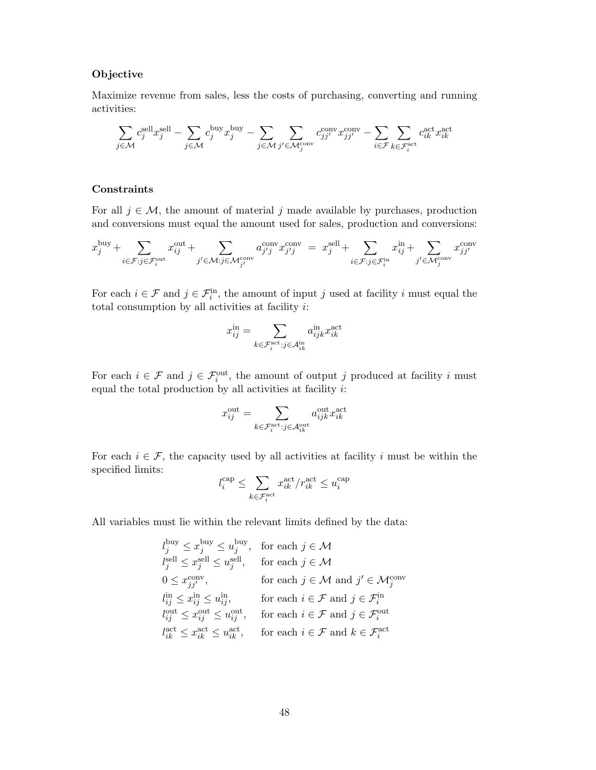## **Objective**

Maximize revenue from sales, less the costs of purchasing, converting and running activities:

$$
\sum_{j \in \mathcal{M}} c_j^{\text{sell}} x_j^{\text{sell}} - \sum_{j \in \mathcal{M}} c_j^{\text{buy}} x_j^{\text{buy}} - \sum_{j \in \mathcal{M}} \sum_{j' \in \mathcal{M}_{j}^{\text{conv}}} c_{jj'}^{\text{conv}} x_{jj'}^{\text{conv}} - \sum_{i \in \mathcal{F}} \sum_{k \in \mathcal{F}_{i}^{\text{act}}} c_{ik}^{\text{act}} x_{ik}^{\text{act}}
$$

### **Constraints**

For all  $j \in \mathcal{M}$ , the amount of material j made available by purchases, production and conversions must equal the amount used for sales, production and conversions:

$$
x_j^{\text{buy}} + \sum_{i \in \mathcal{F}: j \in \mathcal{F}_i^{\text{out}}} x_{ij}^{\text{out}} + \sum_{j' \in \mathcal{M}: j \in \mathcal{M}_{j'}^{\text{conv}}} a_{j'j}^{\text{conv}} x_{j'j}^{\text{conv}} = x_j^{\text{sell}} + \sum_{i \in \mathcal{F}: j \in \mathcal{F}_i^{\text{in}}} x_{ij}^{\text{in}} + \sum_{j' \in \mathcal{M}_j^{\text{conv}}} x_{jj'}^{\text{conv}}
$$

For each  $i \in \mathcal{F}$  and  $j \in \mathcal{F}_i^{\text{in}}$ , the amount of input j used at facility i must equal the total consumption by all activities at facility  $i$ :

$$
x_{ij}^{\textrm{in}}=\sum_{k\in\mathcal{F}^{\textrm{act}}_i:j\in\mathcal{A}^{\textrm{in}}_{ik}}a_{ijk}^{\textrm{in}}x_{ik}^{\textrm{act}}
$$

For each  $i \in \mathcal{F}$  and  $j \in \mathcal{F}^{\text{out}}_i$ , the amount of output j produced at facility i must equal the total production by all activities at facility  $i$ :

$$
x_{ij}^{\textrm{out}} = \sum_{k \in \mathcal{F}^{\textrm{act}}_i: j \in \mathcal{A}^{\textrm{out}}_{ik}} a_{ijk}^{\textrm{out}} x_{ik}^{\textrm{act}}
$$

For each  $i \in \mathcal{F}$ , the capacity used by all activities at facility i must be within the specified limits:

$$
l_i^{\text{cap}} \le \sum_{k \in \mathcal{F}_i^{\text{act}}} x_{ik}^{\text{act}} / r_{ik}^{\text{act}} \le u_i^{\text{cap}}
$$

All variables must lie within the relevant limits defined by the data:

$$
l_j^{\text{buy}} \leq x_j^{\text{buy}} \leq u_j^{\text{buy}}, \quad \text{for each } j \in \mathcal{M}
$$
  
\n
$$
l_j^{\text{sell}} \leq x_j^{\text{sell}} \leq u_j^{\text{sell}}, \qquad \text{for each } j \in \mathcal{M}
$$
  
\n
$$
0 \leq x_{jj'}^{\text{conv}}, \qquad \qquad \text{for each } j \in \mathcal{M} \text{ and } j' \in \mathcal{M}_j^{\text{conv}}
$$
  
\n
$$
l_{ij}^{\text{in}} \leq x_{ij}^{\text{in}} \leq u_{ij}^{\text{in}}, \qquad \text{for each } i \in \mathcal{F} \text{ and } j \in \mathcal{F}_i^{\text{in}}
$$
  
\n
$$
l_{ij}^{\text{out}} \leq x_{ij}^{\text{out}} \leq u_{ij}^{\text{out}}, \qquad \text{for each } i \in \mathcal{F} \text{ and } j \in \mathcal{F}_i^{\text{out}}
$$
  
\n
$$
l_{ik}^{\text{act}} \leq x_{ik}^{\text{act}} \leq u_{ik}^{\text{act}}, \qquad \text{for each } i \in \mathcal{F} \text{ and } k \in \mathcal{F}_i^{\text{act}}
$$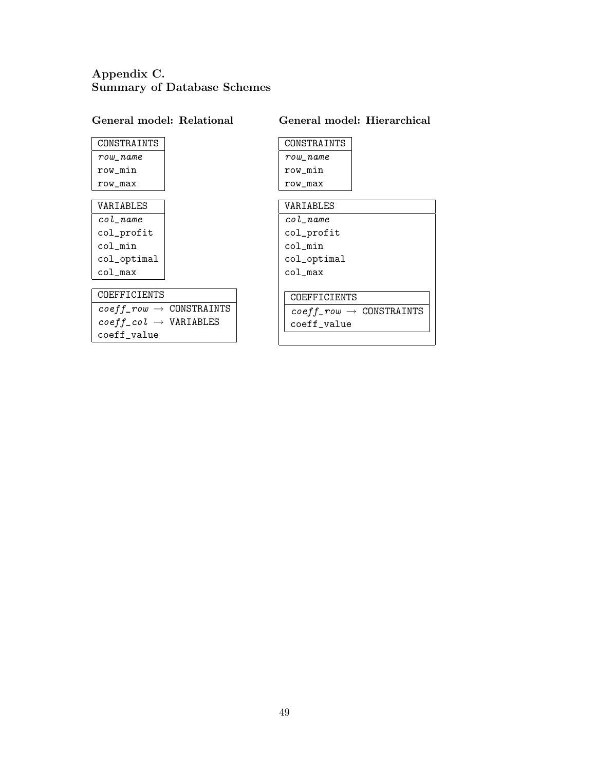## **Appendix C. Summary of Database Schemes**

## **General model: Relational**

# **General model: Hierarchical**

| CONSTRAINTS |
|-------------|
| row name    |
| row_min     |
| row max     |
|             |

| CONSTRAINTS |
|-------------|
| row name    |
| row_min     |
| row_max     |

| VARIABLES    |  |
|--------------|--|
| $col_name$   |  |
| col_profit   |  |
| col min      |  |
| col_optimal  |  |
| col max      |  |
|              |  |
| COEFFICIENTS |  |

# COEFFICIENTS

| $coeff\_row \rightarrow \text{CONSTRAINTS}$ |  |
|---------------------------------------------|--|
| $coeff\_col \rightarrow \text{VARIABLES}$   |  |
| coeff_value                                 |  |

| $\textit{coeff\_row} \rightarrow \text{CONSTRAINTS}$ |  |
|------------------------------------------------------|--|
| coeff value                                          |  |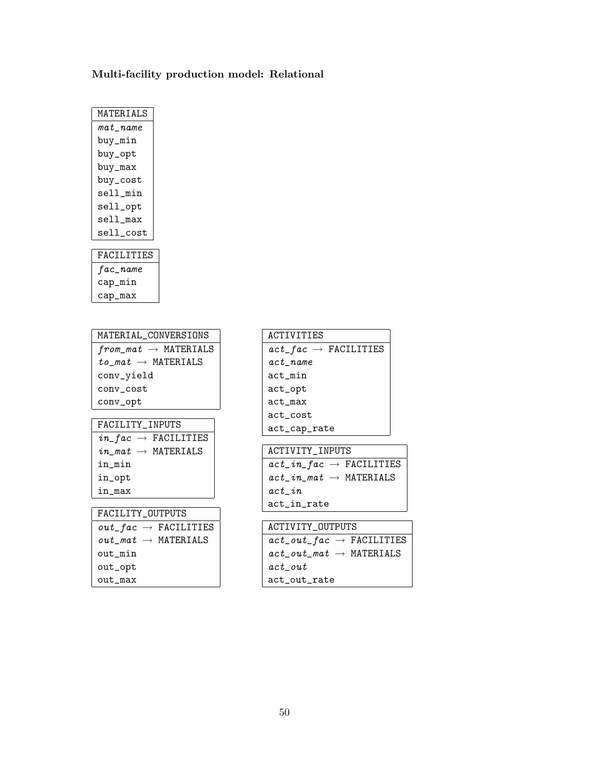# **Multi-facility production model: Relational**

| MATERIALS            |
|----------------------|
| $mat\_name$          |
| buy_min              |
| buy_opt              |
| buy_max              |
| buy_cost             |
| sell min             |
| $\texttt{sell\_opt}$ |
| sell max             |
| sell cost            |
|                      |
| FACILITIES           |
| fac_name             |
| cap_min              |
| cap_max              |

| MATERIAL CONVERSIONS              |
|-----------------------------------|
| $from\_mat \rightarrow$ MATERIALS |
| to mat $\rightarrow$ MATERIALS    |
| conv_yield                        |
| conv cost                         |
| conv_opt                          |
|                                   |
| FACILITY_INPUTS                   |
| $in\_fac \rightarrow$ FACILITIES  |
| $in\_mat \rightarrow$ MATERIALS   |
| in min                            |
| in_opt                            |
| in max                            |

| FACILITY OUTPUTS                 |                                   |  |  |
|----------------------------------|-----------------------------------|--|--|
|                                  | $out\_fac \rightarrow$ FACILITIES |  |  |
| $out\_mat \rightarrow$ MATERIALS |                                   |  |  |
| out_min                          |                                   |  |  |
| out_opt                          |                                   |  |  |
| out_max                          |                                   |  |  |

| <b>ACTIVITIES</b>                 |
|-----------------------------------|
| $act\_fac \rightarrow$ FACILITIES |
| act name                          |
| act_min                           |
| act_opt                           |
| act max                           |
| act cost                          |
| act_cap_rate                      |
|                                   |
|                                   |

| ACTIVITY_INPUTS                       |  |
|---------------------------------------|--|
| $act\_in\_fac \rightarrow$ FACILITIES |  |
| $act\_in\_mat \rightarrow$ MATERIALS  |  |
| $act\_in$                             |  |
| $act_in_rate$                         |  |

| ACTIVITY_OUTPUTS                             |
|----------------------------------------------|
| $act\_out\_fac \rightarrow$ FACILITIES       |
| $act\_out\_mat \rightarrow \text{MATERIALS}$ |
| $act_out$                                    |
| act_out_rate                                 |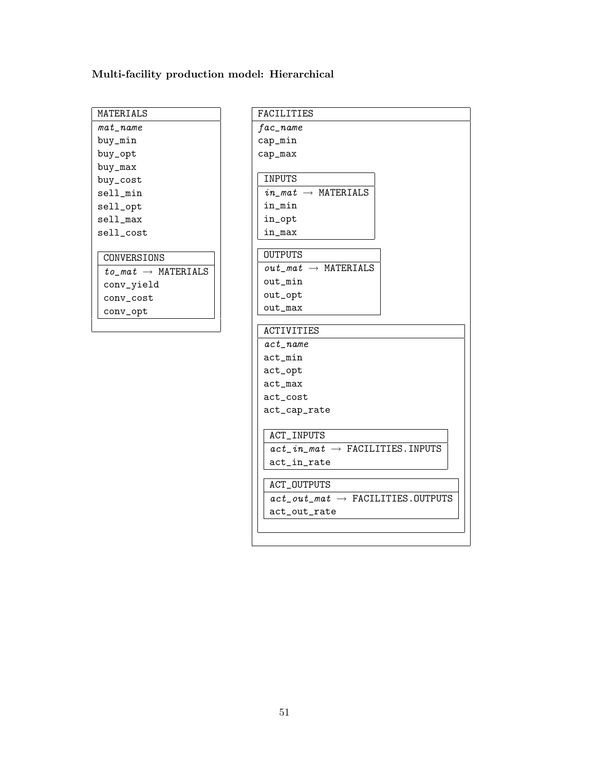# **Multi-facility production model: Hierarchical**

| MATERIALS                       |
|---------------------------------|
| mat_name                        |
| buy_min                         |
| buy_opt                         |
| buy_max                         |
| buy_cost                        |
| sell min                        |
| sell_opt                        |
| sell max                        |
| sell cost                       |
|                                 |
| CONVERSIONS                     |
| $to\_mat \rightarrow$ MATERIALS |
| conv_yield                      |
| conv_cost                       |
| conv_opt                        |
|                                 |

| FACILITIES                                      |  |
|-------------------------------------------------|--|
| fac_name                                        |  |
| cap_min                                         |  |
| cap_max                                         |  |
|                                                 |  |
| INPUTS                                          |  |
| $in\_mat \rightarrow$ MATERIALS                 |  |
| in_min                                          |  |
| in_opt                                          |  |
| in_max                                          |  |
| <b>OUTPUTS</b>                                  |  |
| $out\_mat \rightarrow$ MATERIALS                |  |
| out_min                                         |  |
| out_opt                                         |  |
| $out_max$                                       |  |
|                                                 |  |
| <b>ACTIVITIES</b>                               |  |
| $act_name$                                      |  |
| $act\_min$                                      |  |
| act_opt                                         |  |
| act_max                                         |  |
| act_cost                                        |  |
| act_cap_rate                                    |  |
| <b>ACT_INPUTS</b>                               |  |
| $act\_in\_mat \rightarrow$ FACILITIES. INPUTS   |  |
| act_in_rate                                     |  |
|                                                 |  |
| ACT_OUTPUTS                                     |  |
| $act\_out\_mat \rightarrow$ FACILITIES. OUTPUTS |  |
| act_out_rate                                    |  |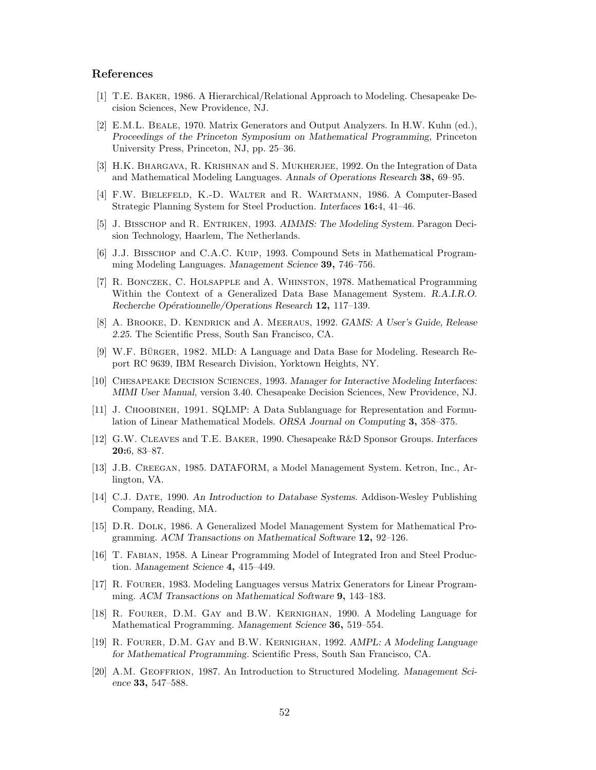#### **References**

- [1] T.E. Baker, 1986. A Hierarchical/Relational Approach to Modeling. Chesapeake Decision Sciences, New Providence, NJ.
- [2] E.M.L. Beale, 1970. Matrix Generators and Output Analyzers. In H.W. Kuhn (ed.), *Proceedings of the Princeton Symposium on Mathematical Programming,* Princeton University Press, Princeton, NJ, pp. 25–36.
- [3] H.K. BHARGAVA, R. KRISHNAN and S. MUKHERJEE, 1992. On the Integration of Data and Mathematical Modeling Languages. *Annals of Operations Research* **38,** 69–95.
- [4] F.W. Bielefeld, K.-D. Walter and R. Wartmann, 1986. A Computer-Based Strategic Planning System for Steel Production. *Interfaces* **16:**4, 41–46.
- [5] J. Bisschop and R. Entriken, 1993. *AIMMS: The Modeling System.* Paragon Decision Technology, Haarlem, The Netherlands.
- [6] J.J. Bisschop and C.A.C. Kuip, 1993. Compound Sets in Mathematical Programming Modeling Languages. *Management Science* **39,** 746–756.
- [7] R. Bonczek, C. Holsapple and A. Whinston, 1978. Mathematical Programming Within the Context of a Generalized Data Base Management System. *R.A.I.R.O. Recherche Op´erationnelle/Operations Research* **12,** 117–139.
- [8] A. Brooke, D. Kendrick and A. Meeraus, 1992. *GAMS: A User's Guide, Release 2.25.* The Scientific Press, South San Francisco, CA.
- [9] W.F. BÜRGER, 1982. MLD: A Language and Data Base for Modeling. Research Report RC 9639, IBM Research Division, Yorktown Heights, NY.
- [10] Chesapeake Decision Sciences, 1993. *Manager for Interactive Modeling Interfaces: MIMI User Manual,* version 3.40. Chesapeake Decision Sciences, New Providence, NJ.
- [11] J. Choobineh, 1991. SQLMP: A Data Sublanguage for Representation and Formulation of Linear Mathematical Models. *ORSA Journal on Computing* **3,** 358–375.
- [12] G.W. Cleaves and T.E. Baker, 1990. Chesapeake R&D Sponsor Groups. *Interfaces* **20:**6, 83–87.
- [13] J.B. CREEGAN, 1985. DATAFORM, a Model Management System. Ketron, Inc., Arlington, VA.
- [14] C.J. Date, 1990. *An Introduction to Database Systems.* Addison-Wesley Publishing Company, Reading, MA.
- [15] D.R. Dolk, 1986. A Generalized Model Management System for Mathematical Programming. *ACM Transactions on Mathematical Software* **12,** 92–126.
- [16] T. Fabian, 1958. A Linear Programming Model of Integrated Iron and Steel Production. *Management Science* **4,** 415–449.
- [17] R. Fourer, 1983. Modeling Languages versus Matrix Generators for Linear Programming. *ACM Transactions on Mathematical Software* **9,** 143–183.
- [18] R. Fourer, D.M. Gay and B.W. Kernighan, 1990. A Modeling Language for Mathematical Programming. *Management Science* **36,** 519–554.
- [19] R. Fourer, D.M. Gay and B.W. Kernighan, 1992. *AMPL: A Modeling Language for Mathematical Programming.* Scientific Press, South San Francisco, CA.
- [20] A.M. Geoffrion, 1987. An Introduction to Structured Modeling. *Management Science* **33,** 547–588.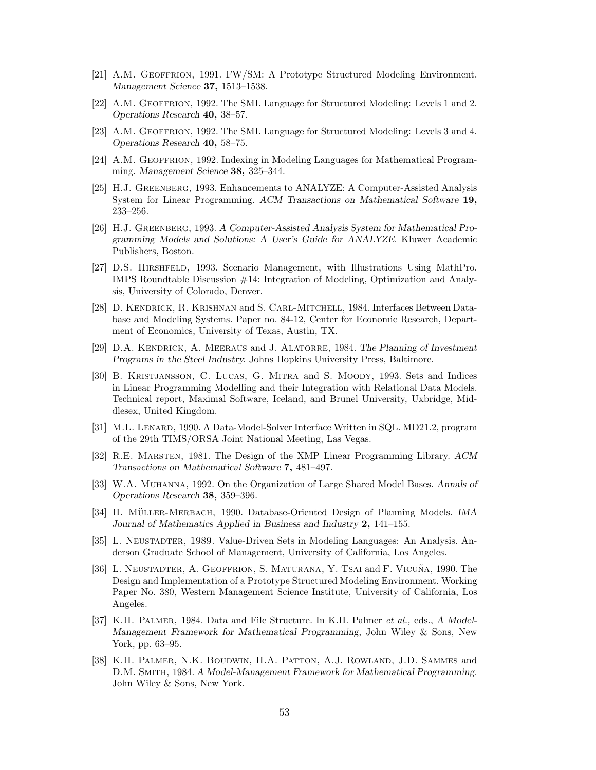- [21] A.M. Geoffrion, 1991. FW/SM: A Prototype Structured Modeling Environment. *Management Science* **37,** 1513–1538.
- [22] A.M. Geoffrion, 1992. The SML Language for Structured Modeling: Levels 1 and 2. *Operations Research* **40,** 38–57.
- [23] A.M. Geoffrion, 1992. The SML Language for Structured Modeling: Levels 3 and 4. *Operations Research* **40,** 58–75.
- [24] A.M. Geoffrion, 1992. Indexing in Modeling Languages for Mathematical Programming. *Management Science* **38,** 325–344.
- [25] H.J. GREENBERG, 1993. Enhancements to ANALYZE: A Computer-Assisted Analysis System for Linear Programming. *ACM Transactions on Mathematical Software* **19,** 233–256.
- [26] H.J. Greenberg, 1993. *A Computer-Assisted Analysis System for Mathematical Programming Models and Solutions: A User's Guide for ANALYZE.* Kluwer Academic Publishers, Boston.
- [27] D.S. HIRSHFELD, 1993. Scenario Management, with Illustrations Using MathPro. IMPS Roundtable Discussion #14: Integration of Modeling, Optimization and Analysis, University of Colorado, Denver.
- [28] D. Kendrick, R. Krishnan and S. Carl-Mitchell, 1984. Interfaces Between Database and Modeling Systems. Paper no. 84-12, Center for Economic Research, Department of Economics, University of Texas, Austin, TX.
- [29] D.A. Kendrick, A. Meeraus and J. Alatorre, 1984. *The Planning of Investment Programs in the Steel Industry.* Johns Hopkins University Press, Baltimore.
- [30] B. Kristjansson, C. Lucas, G. Mitra and S. Moody, 1993. Sets and Indices in Linear Programming Modelling and their Integration with Relational Data Models. Technical report, Maximal Software, Iceland, and Brunel University, Uxbridge, Middlesex, United Kingdom.
- [31] M.L. Lenard, 1990. A Data-Model-Solver Interface Written in SQL. MD21.2, program of the 29th TIMS/ORSA Joint National Meeting, Las Vegas.
- [32] R.E. Marsten, 1981. The Design of the XMP Linear Programming Library. *ACM Transactions on Mathematical Software* **7,** 481–497.
- [33] W.A. Muhanna, 1992. On the Organization of Large Shared Model Bases. *Annals of Operations Research* **38,** 359–396.
- [34] H. MÜLLER-MERBACH, 1990. Database-Oriented Design of Planning Models. *IMA Journal of Mathematics Applied in Business and Industry* **2,** 141–155.
- [35] L. NEUSTADTER, 1989. Value-Driven Sets in Modeling Languages: An Analysis. Anderson Graduate School of Management, University of California, Los Angeles.
- [36] L. NEUSTADTER, A. GEOFFRION, S. MATURANA, Y. TSAI and F. VICUÑA, 1990. The Design and Implementation of a Prototype Structured Modeling Environment. Working Paper No. 380, Western Management Science Institute, University of California, Los Angeles.
- [37] K.H. Palmer, 1984. Data and File Structure. In K.H. Palmer et al., eds., *A Model-Management Framework for Mathematical Programming,* John Wiley & Sons, New York, pp. 63–95.
- [38] K.H. Palmer, N.K. Boudwin, H.A. Patton, A.J. Rowland, J.D. Sammes and D.M. Smith, 1984. *A Model-Management Framework for Mathematical Programming.* John Wiley & Sons, New York.